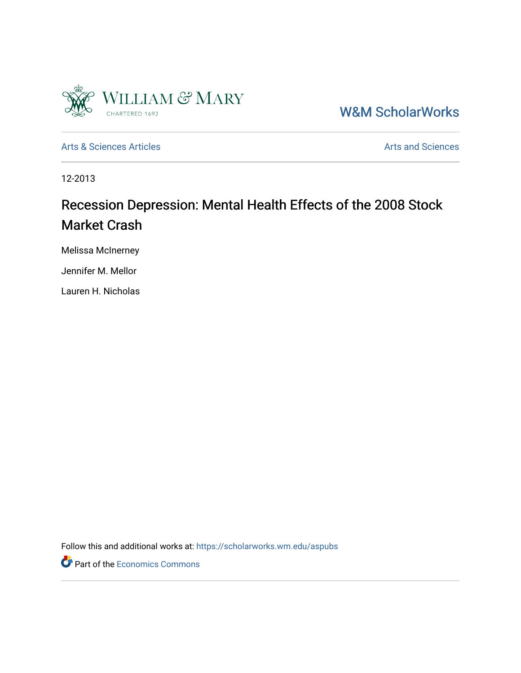

[W&M ScholarWorks](https://scholarworks.wm.edu/) 

[Arts & Sciences Articles](https://scholarworks.wm.edu/aspubs) **Articles** [Arts and Sciences](https://scholarworks.wm.edu/as) Articles Arts and Sciences Arts and Sciences

12-2013

### Recession Depression: Mental Health Effects of the 2008 Stock Market Crash

Melissa McInerney

Jennifer M. Mellor

Lauren H. Nicholas

Follow this and additional works at: [https://scholarworks.wm.edu/aspubs](https://scholarworks.wm.edu/aspubs?utm_source=scholarworks.wm.edu%2Faspubs%2F2021&utm_medium=PDF&utm_campaign=PDFCoverPages) 

Part of the [Economics Commons](http://network.bepress.com/hgg/discipline/340?utm_source=scholarworks.wm.edu%2Faspubs%2F2021&utm_medium=PDF&utm_campaign=PDFCoverPages)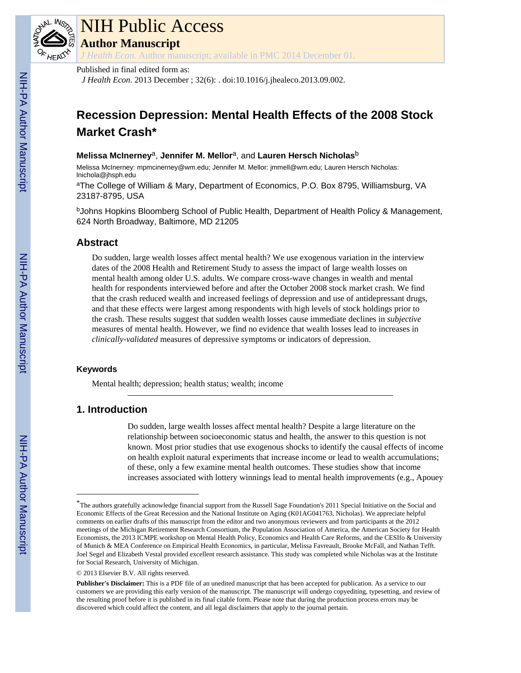

## NIH Public Access

**Author Manuscript**

*J Health Econ*. Author manuscript; available in PMC 2014 December 01.

#### Published in final edited form as:

*J Health Econ*. 2013 December ; 32(6): . doi:10.1016/j.jhealeco.2013.09.002.

#### **Recession Depression: Mental Health Effects of the 2008 Stock Market Crash\***

#### **Melissa McInerney**a, **Jennifer M. Mellor**a, and **Lauren Hersch Nicholas**<sup>b</sup>

Melissa McInerney: mpmcinerney@wm.edu; Jennifer M. Mellor: jmmell@wm.edu; Lauren Hersch Nicholas: lnichola@jhsph.edu

<sup>a</sup>The College of William & Mary, Department of Economics, P.O. Box 8795, Williamsburg, VA 23187-8795, USA

bJohns Hopkins Bloomberg School of Public Health, Department of Health Policy & Management, 624 North Broadway, Baltimore, MD 21205

#### **Abstract**

Do sudden, large wealth losses affect mental health? We use exogenous variation in the interview dates of the 2008 Health and Retirement Study to assess the impact of large wealth losses on mental health among older U.S. adults. We compare cross-wave changes in wealth and mental health for respondents interviewed before and after the October 2008 stock market crash. We find that the crash reduced wealth and increased feelings of depression and use of antidepressant drugs, and that these effects were largest among respondents with high levels of stock holdings prior to the crash. These results suggest that sudden wealth losses cause immediate declines in *subjective* measures of mental health. However, we find no evidence that wealth losses lead to increases in *clinically-validated* measures of depressive symptoms or indicators of depression.

#### **Keywords**

Mental health; depression; health status; wealth; income

#### **1. Introduction**

Do sudden, large wealth losses affect mental health? Despite a large literature on the relationship between socioeconomic status and health, the answer to this question is not known. Most prior studies that use exogenous shocks to identify the causal effects of income on health exploit natural experiments that increase income or lead to wealth accumulations; of these, only a few examine mental health outcomes. These studies show that income increases associated with lottery winnings lead to mental health improvements (e.g., Apouey

© 2013 Elsevier B.V. All rights reserved.

<sup>\*</sup>The authors gratefully acknowledge financial support from the Russell Sage Foundation's 2011 Special Initiative on the Social and Economic Effects of the Great Recession and the National Institute on Aging (K01AG041763, Nicholas). We appreciate helpful comments on earlier drafts of this manuscript from the editor and two anonymous reviewers and from participants at the 2012 meetings of the Michigan Retirement Research Consortium, the Population Association of America, the American Society for Health Economists, the 2013 ICMPE workshop on Mental Health Policy, Economics and Health Care Reforms, and the CESIfo & University of Munich & MEA Conference on Empirical Health Economics, in particular, Melissa Favreault, Brooke McFall, and Nathan Tefft. Joel Segel and Elizabeth Vestal provided excellent research assistance. This study was completed while Nicholas was at the Institute for Social Research, University of Michigan.

**Publisher's Disclaimer:** This is a PDF file of an unedited manuscript that has been accepted for publication. As a service to our customers we are providing this early version of the manuscript. The manuscript will undergo copyediting, typesetting, and review of the resulting proof before it is published in its final citable form. Please note that during the production process errors may be discovered which could affect the content, and all legal disclaimers that apply to the journal pertain.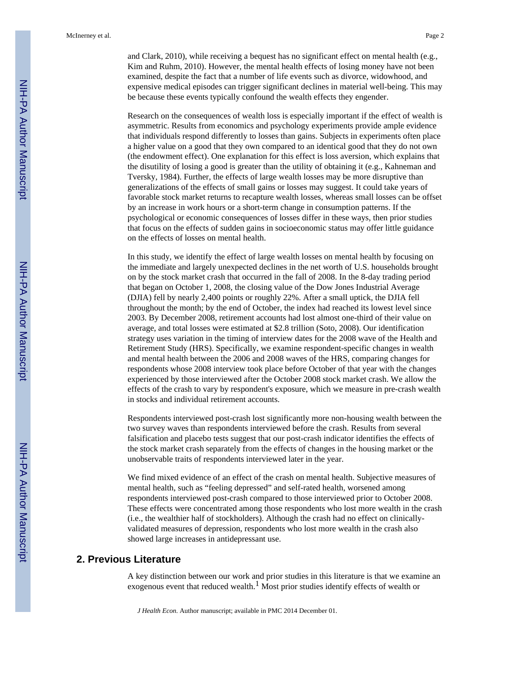and Clark, 2010), while receiving a bequest has no significant effect on mental health (e.g., Kim and Ruhm, 2010). However, the mental health effects of losing money have not been examined, despite the fact that a number of life events such as divorce, widowhood, and expensive medical episodes can trigger significant declines in material well-being. This may be because these events typically confound the wealth effects they engender.

Research on the consequences of wealth loss is especially important if the effect of wealth is asymmetric. Results from economics and psychology experiments provide ample evidence that individuals respond differently to losses than gains. Subjects in experiments often place a higher value on a good that they own compared to an identical good that they do not own (the endowment effect). One explanation for this effect is loss aversion, which explains that the disutility of losing a good is greater than the utility of obtaining it (e.g., Kahneman and Tversky, 1984). Further, the effects of large wealth losses may be more disruptive than generalizations of the effects of small gains or losses may suggest. It could take years of favorable stock market returns to recapture wealth losses, whereas small losses can be offset by an increase in work hours or a short-term change in consumption patterns. If the psychological or economic consequences of losses differ in these ways, then prior studies that focus on the effects of sudden gains in socioeconomic status may offer little guidance on the effects of losses on mental health.

In this study, we identify the effect of large wealth losses on mental health by focusing on the immediate and largely unexpected declines in the net worth of U.S. households brought on by the stock market crash that occurred in the fall of 2008. In the 8-day trading period that began on October 1, 2008, the closing value of the Dow Jones Industrial Average (DJIA) fell by nearly 2,400 points or roughly 22%. After a small uptick, the DJIA fell throughout the month; by the end of October, the index had reached its lowest level since 2003. By December 2008, retirement accounts had lost almost one-third of their value on average, and total losses were estimated at \$2.8 trillion (Soto, 2008). Our identification strategy uses variation in the timing of interview dates for the 2008 wave of the Health and Retirement Study (HRS). Specifically, we examine respondent-specific changes in wealth and mental health between the 2006 and 2008 waves of the HRS, comparing changes for respondents whose 2008 interview took place before October of that year with the changes experienced by those interviewed after the October 2008 stock market crash. We allow the effects of the crash to vary by respondent's exposure, which we measure in pre-crash wealth in stocks and individual retirement accounts.

Respondents interviewed post-crash lost significantly more non-housing wealth between the two survey waves than respondents interviewed before the crash. Results from several falsification and placebo tests suggest that our post-crash indicator identifies the effects of the stock market crash separately from the effects of changes in the housing market or the unobservable traits of respondents interviewed later in the year.

We find mixed evidence of an effect of the crash on mental health. Subjective measures of mental health, such as "feeling depressed" and self-rated health, worsened among respondents interviewed post-crash compared to those interviewed prior to October 2008. These effects were concentrated among those respondents who lost more wealth in the crash (i.e., the wealthier half of stockholders). Although the crash had no effect on clinicallyvalidated measures of depression, respondents who lost more wealth in the crash also showed large increases in antidepressant use.

#### **2. Previous Literature**

A key distinction between our work and prior studies in this literature is that we examine an exogenous event that reduced wealth.<sup>1</sup> Most prior studies identify effects of wealth or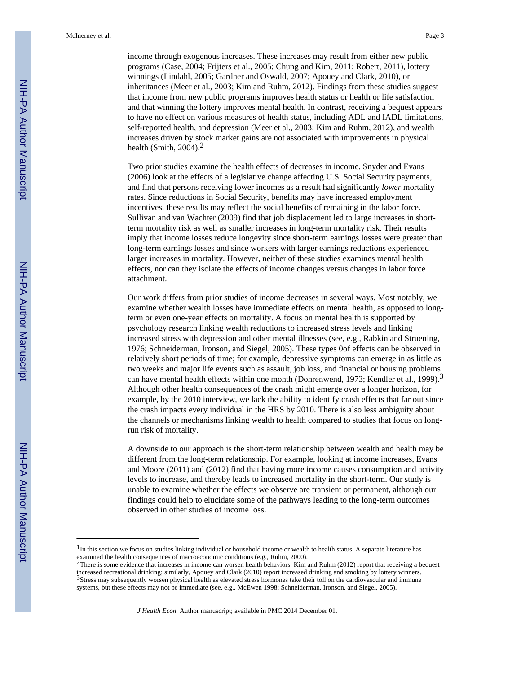income through exogenous increases. These increases may result from either new public programs (Case, 2004; Frijters et al., 2005; Chung and Kim, 2011; Robert, 2011), lottery winnings (Lindahl, 2005; Gardner and Oswald, 2007; Apouey and Clark, 2010), or inheritances (Meer et al., 2003; Kim and Ruhm, 2012). Findings from these studies suggest that income from new public programs improves health status or health or life satisfaction and that winning the lottery improves mental health. In contrast, receiving a bequest appears to have no effect on various measures of health status, including ADL and IADL limitations, self-reported health, and depression (Meer et al., 2003; Kim and Ruhm, 2012), and wealth increases driven by stock market gains are not associated with improvements in physical health (Smith,  $2004$ ).<sup>2</sup>

Two prior studies examine the health effects of decreases in income. Snyder and Evans (2006) look at the effects of a legislative change affecting U.S. Social Security payments, and find that persons receiving lower incomes as a result had significantly *lower* mortality rates. Since reductions in Social Security, benefits may have increased employment incentives, these results may reflect the social benefits of remaining in the labor force. Sullivan and van Wachter (2009) find that job displacement led to large increases in shortterm mortality risk as well as smaller increases in long-term mortality risk. Their results imply that income losses reduce longevity since short-term earnings losses were greater than long-term earnings losses and since workers with larger earnings reductions experienced larger increases in mortality. However, neither of these studies examines mental health effects, nor can they isolate the effects of income changes versus changes in labor force attachment.

Our work differs from prior studies of income decreases in several ways. Most notably, we examine whether wealth losses have immediate effects on mental health, as opposed to longterm or even one-year effects on mortality. A focus on mental health is supported by psychology research linking wealth reductions to increased stress levels and linking increased stress with depression and other mental illnesses (see, e.g., Rabkin and Struening, 1976; Schneiderman, Ironson, and Siegel, 2005). These types 0of effects can be observed in relatively short periods of time; for example, depressive symptoms can emerge in as little as two weeks and major life events such as assault, job loss, and financial or housing problems can have mental health effects within one month (Dohrenwend, 1973; Kendler et al., 1999).<sup>3</sup> Although other health consequences of the crash might emerge over a longer horizon, for example, by the 2010 interview, we lack the ability to identify crash effects that far out since the crash impacts every individual in the HRS by 2010. There is also less ambiguity about the channels or mechanisms linking wealth to health compared to studies that focus on longrun risk of mortality.

A downside to our approach is the short-term relationship between wealth and health may be different from the long-term relationship. For example, looking at income increases, Evans and Moore (2011) and (2012) find that having more income causes consumption and activity levels to increase, and thereby leads to increased mortality in the short-term. Our study is unable to examine whether the effects we observe are transient or permanent, although our findings could help to elucidate some of the pathways leading to the long-term outcomes observed in other studies of income loss.

<sup>&</sup>lt;sup>1</sup>In this section we focus on studies linking individual or household income or wealth to health status. A separate literature has examined the health consequences of macroeconomic conditions (e.g., Ruhm, 2000).<br><sup>2</sup>There is some evidence that increases in income can worsen health behaviors. Kim and Ruhm (2012) report that receiving a bequest

increased recreational drinking; similarly, Apouey and Clark (2010) report increased drinking and smoking by lottery winners.<br><sup>3</sup>Stress may subsequently worsen physical health as elevated stress hormones take their toll on systems, but these effects may not be immediate (see, e.g., McEwen 1998; Schneiderman, Ironson, and Siegel, 2005).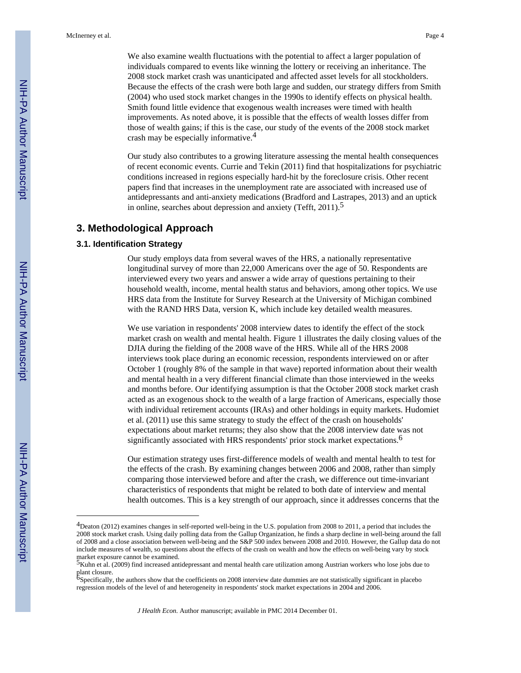We also examine wealth fluctuations with the potential to affect a larger population of individuals compared to events like winning the lottery or receiving an inheritance. The 2008 stock market crash was unanticipated and affected asset levels for all stockholders. Because the effects of the crash were both large and sudden, our strategy differs from Smith (2004) who used stock market changes in the 1990s to identify effects on physical health. Smith found little evidence that exogenous wealth increases were timed with health improvements. As noted above, it is possible that the effects of wealth losses differ from those of wealth gains; if this is the case, our study of the events of the 2008 stock market crash may be especially informative.4

Our study also contributes to a growing literature assessing the mental health consequences of recent economic events. Currie and Tekin (2011) find that hospitalizations for psychiatric conditions increased in regions especially hard-hit by the foreclosure crisis. Other recent papers find that increases in the unemployment rate are associated with increased use of antidepressants and anti-anxiety medications (Bradford and Lastrapes, 2013) and an uptick in online, searches about depression and anxiety (Tefft, 2011).<sup>5</sup>

#### **3. Methodological Approach**

#### **3.1. Identification Strategy**

Our study employs data from several waves of the HRS, a nationally representative longitudinal survey of more than 22,000 Americans over the age of 50. Respondents are interviewed every two years and answer a wide array of questions pertaining to their household wealth, income, mental health status and behaviors, among other topics. We use HRS data from the Institute for Survey Research at the University of Michigan combined with the RAND HRS Data, version K, which include key detailed wealth measures.

We use variation in respondents' 2008 interview dates to identify the effect of the stock market crash on wealth and mental health. Figure 1 illustrates the daily closing values of the DJIA during the fielding of the 2008 wave of the HRS. While all of the HRS 2008 interviews took place during an economic recession, respondents interviewed on or after October 1 (roughly 8% of the sample in that wave) reported information about their wealth and mental health in a very different financial climate than those interviewed in the weeks and months before. Our identifying assumption is that the October 2008 stock market crash acted as an exogenous shock to the wealth of a large fraction of Americans, especially those with individual retirement accounts (IRAs) and other holdings in equity markets. Hudomiet et al. (2011) use this same strategy to study the effect of the crash on households' expectations about market returns; they also show that the 2008 interview date was not significantly associated with HRS respondents' prior stock market expectations.<sup>6</sup>

Our estimation strategy uses first-difference models of wealth and mental health to test for the effects of the crash. By examining changes between 2006 and 2008, rather than simply comparing those interviewed before and after the crash, we difference out time-invariant characteristics of respondents that might be related to both date of interview and mental health outcomes. This is a key strength of our approach, since it addresses concerns that the

<sup>4</sup>Deaton (2012) examines changes in self-reported well-being in the U.S. population from 2008 to 2011, a period that includes the 2008 stock market crash. Using daily polling data from the Gallup Organization, he finds a sharp decline in well-being around the fall of 2008 and a close association between well-being and the S&P 500 index between 2008 and 2010. However, the Gallup data do not include measures of wealth, so questions about the effects of the crash on wealth and how the effects on well-being vary by stock market exposure cannot be examined.<br><sup>5</sup>Kuhn et al. (2009) find increased antidepressant and mental health care utilization among Austrian workers who lose jobs due to

plant closure.<br><sup>6</sup>Specifically, the authors show that the coefficients on 2008 interview date dummies are not statistically significant in placebo

regression models of the level of and heterogeneity in respondents' stock market expectations in 2004 and 2006.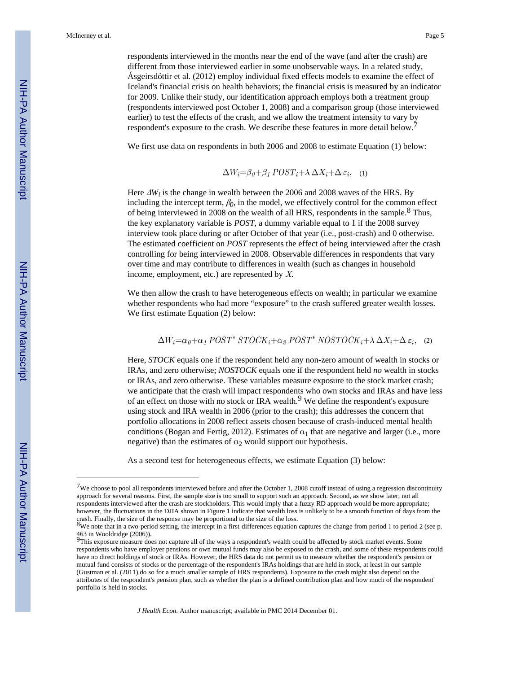respondents interviewed in the months near the end of the wave (and after the crash) are different from those interviewed earlier in some unobservable ways. In a related study, Ásgeirsdóttir et al. (2012) employ individual fixed effects models to examine the effect of Iceland's financial crisis on health behaviors; the financial crisis is measured by an indicator for 2009. Unlike their study, our identification approach employs both a treatment group (respondents interviewed post October 1, 2008) and a comparison group (those interviewed earlier) to test the effects of the crash, and we allow the treatment intensity to vary by respondent's exposure to the crash. We describe these features in more detail below.<sup>1</sup>

We first use data on respondents in both 2006 and 2008 to estimate Equation (1) below:

$$
\Delta W_i = \beta_0 + \beta_1 \, POST_i + \lambda \, \Delta X_i + \Delta \, \varepsilon_i, \quad (1)
$$

Here Δ*W<sup>i</sup>* is the change in wealth between the 2006 and 2008 waves of the HRS. By including the intercept term,  $\beta_0$ , in the model, we effectively control for the common effect of being interviewed in 2008 on the wealth of all HRS, respondents in the sample.<sup>8</sup> Thus, the key explanatory variable is *POST*, a dummy variable equal to 1 if the 2008 survey interview took place during or after October of that year (i.e., post-crash) and 0 otherwise. The estimated coefficient on *POST* represents the effect of being interviewed after the crash controlling for being interviewed in 2008. Observable differences in respondents that vary over time and may contribute to differences in wealth (such as changes in household income, employment, etc.) are represented by  $X$ .

We then allow the crash to have heterogeneous effects on wealth; in particular we examine whether respondents who had more "exposure" to the crash suffered greater wealth losses. We first estimate Equation (2) below:

$$
\Delta W_i = \alpha_0 + \alpha_1 POST^* STOCK_i + \alpha_2 POST^* NOSTOCK_i + \lambda \Delta X_i + \Delta \varepsilon_i
$$
 (2)

Here, *STOCK* equals one if the respondent held any non-zero amount of wealth in stocks or IRAs, and zero otherwise; *NOSTOCK* equals one if the respondent held *no* wealth in stocks or IRAs, and zero otherwise. These variables measure exposure to the stock market crash; we anticipate that the crash will impact respondents who own stocks and IRAs and have less of an effect on those with no stock or IRA wealth. $9$  We define the respondent's exposure using stock and IRA wealth in 2006 (prior to the crash); this addresses the concern that portfolio allocations in 2008 reflect assets chosen because of crash-induced mental health conditions (Bogan and Fertig, 2012). Estimates of  $a_1$  that are negative and larger (i.e., more negative) than the estimates of  $\alpha_2$  would support our hypothesis.

As a second test for heterogeneous effects, we estimate Equation (3) below:

<sup>7</sup>We choose to pool all respondents interviewed before and after the October 1, 2008 cutoff instead of using a regression discontinuity approach for several reasons. First, the sample size is too small to support such an approach. Second, as we show later, not all respondents interviewed after the crash are stockholders. This would imply that a fuzzy RD approach would be more appropriate; however, the fluctuations in the DJIA shown in Figure 1 indicate that wealth loss is unlikely to be a smooth function of days from the

crash. Finally, the size of the response may be proportional to the size of the loss.<br><sup>8</sup>We note that in a two-period setting, the intercept in a first-differences equation captures the change from period 1 to period 2 (se 463 in Wooldridge (2006)).<br><sup>9</sup>This exposure measure does not capture all of the ways a respondent's wealth could be affected by stock market events. Some

respondents who have employer pensions or own mutual funds may also be exposed to the crash, and some of these respondents could have no direct holdings of stock or IRAs. However, the HRS data do not permit us to measure whether the respondent's pension or mutual fund consists of stocks or the percentage of the respondent's IRAs holdings that are held in stock, at least in our sample (Gustman et al. (2011) do so for a much smaller sample of HRS respondents). Exposure to the crash might also depend on the attributes of the respondent's pension plan, such as whether the plan is a defined contribution plan and how much of the respondent' portfolio is held in stocks.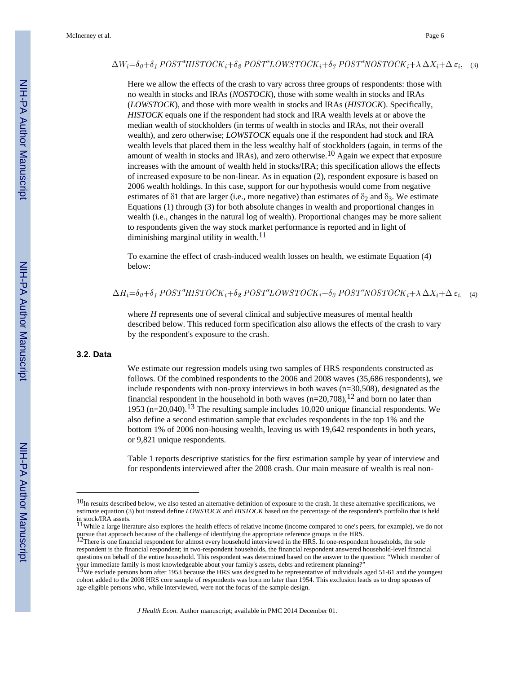Here we allow the effects of the crash to vary across three groups of respondents: those with no wealth in stocks and IRAs (*NOSTOCK*), those with some wealth in stocks and IRAs (*LOWSTOCK*), and those with more wealth in stocks and IRAs (*HISTOCK*). Specifically, *HISTOCK* equals one if the respondent had stock and IRA wealth levels at or above the median wealth of stockholders (in terms of wealth in stocks and IRAs, not their overall wealth), and zero otherwise; *LOWSTOCK* equals one if the respondent had stock and IRA wealth levels that placed them in the less wealthy half of stockholders (again, in terms of the amount of wealth in stocks and IRAs), and zero otherwise.10 Again we expect that exposure increases with the amount of wealth held in stocks/IRA; this specification allows the effects of increased exposure to be non-linear. As in equation (2), respondent exposure is based on 2006 wealth holdings. In this case, support for our hypothesis would come from negative estimates of  $\delta$ 1 that are larger (i.e., more negative) than estimates of  $\delta_2$  and  $\delta_3$ . We estimate Equations (1) through (3) for both absolute changes in wealth and proportional changes in wealth (i.e., changes in the natural log of wealth). Proportional changes may be more salient to respondents given the way stock market performance is reported and in light of diminishing marginal utility in wealth.<sup>11</sup>

To examine the effect of crash-induced wealth losses on health, we estimate Equation (4) below:

 $\Delta H_i = \delta_0 + \delta_1 \, POST^*HISTOCK_i + \delta_2 \, POST^*LOWSTOCK_i + \delta_3 \, POST^*NOSTOCK_i + \lambda \, \Delta X_i + \Delta \, \varepsilon_i$ 

where *H* represents one of several clinical and subjective measures of mental health described below. This reduced form specification also allows the effects of the crash to vary by the respondent's exposure to the crash.

#### **3.2. Data**

We estimate our regression models using two samples of HRS respondents constructed as follows. Of the combined respondents to the 2006 and 2008 waves (35,686 respondents), we include respondents with non-proxy interviews in both waves (n=30,508), designated as the financial respondent in the household in both waves  $(n=20,708)$ ,<sup>12</sup> and born no later than 1953 (n=20,040).<sup>13</sup> The resulting sample includes 10,020 unique financial respondents. We also define a second estimation sample that excludes respondents in the top 1% and the bottom 1% of 2006 non-housing wealth, leaving us with 19,642 respondents in both years, or 9,821 unique respondents.

Table 1 reports descriptive statistics for the first estimation sample by year of interview and for respondents interviewed after the 2008 crash. Our main measure of wealth is real non-

 $10$ In results described below, we also tested an alternative definition of exposure to the crash. In these alternative specifications, we estimate equation (3) but instead define *LOWSTOCK* and *HISTOCK* based on the percentage of the respondent's portfolio that is held in stock/IRA assets.<br><sup>11</sup>While a large literature also explores the health effects of relative income (income compared to one's peers, for example), we do not

pursue that approach because of the challenge of identifying the appropriate reference groups in the HRS.<br><sup>12</sup>There is one financial respondent for almost every household interviewed in the HRS. In one-respondent household

respondent is the financial respondent; in two-respondent households, the financial respondent answered household-level financial questions on behalf of the entire household. This respondent was determined based on the answer to the question: "Which member of your immediate family is most knowledgeable about your family's assets, debts and retirement planning?"<br><sup>13</sup>We exclude persons born after 1953 because the HRS was designed to be representative of individuals aged 51-61 and

cohort added to the 2008 HRS core sample of respondents was born no later than 1954. This exclusion leads us to drop spouses of age-eligible persons who, while interviewed, were not the focus of the sample design.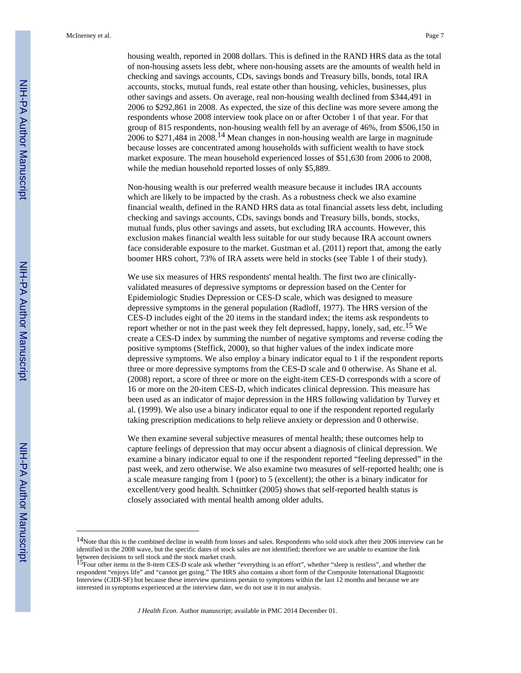housing wealth, reported in 2008 dollars. This is defined in the RAND HRS data as the total of non-housing assets less debt, where non-housing assets are the amounts of wealth held in checking and savings accounts, CDs, savings bonds and Treasury bills, bonds, total IRA accounts, stocks, mutual funds, real estate other than housing, vehicles, businesses, plus other savings and assets. On average, real non-housing wealth declined from \$344,491 in 2006 to \$292,861 in 2008. As expected, the size of this decline was more severe among the respondents whose 2008 interview took place on or after October 1 of that year. For that group of 815 respondents, non-housing wealth fell by an average of 46%, from \$506,150 in 2006 to \$271,484 in 2008.<sup>14</sup> Mean changes in non-housing wealth are large in magnitude because losses are concentrated among households with sufficient wealth to have stock market exposure. The mean household experienced losses of \$51,630 from 2006 to 2008, while the median household reported losses of only \$5,889.

Non-housing wealth is our preferred wealth measure because it includes IRA accounts which are likely to be impacted by the crash. As a robustness check we also examine financial wealth, defined in the RAND HRS data as total financial assets less debt, including checking and savings accounts, CDs, savings bonds and Treasury bills, bonds, stocks, mutual funds, plus other savings and assets, but excluding IRA accounts. However, this exclusion makes financial wealth less suitable for our study because IRA account owners face considerable exposure to the market. Gustman et al. (2011) report that, among the early boomer HRS cohort, 73% of IRA assets were held in stocks (see Table 1 of their study).

We use six measures of HRS respondents' mental health. The first two are clinicallyvalidated measures of depressive symptoms or depression based on the Center for Epidemiologic Studies Depression or CES-D scale, which was designed to measure depressive symptoms in the general population (Radloff, 1977). The HRS version of the CES-D includes eight of the 20 items in the standard index; the items ask respondents to report whether or not in the past week they felt depressed, happy, lonely, sad, etc.<sup>15</sup> We create a CES-D index by summing the number of negative symptoms and reverse coding the positive symptoms (Steffick, 2000), so that higher values of the index indicate more depressive symptoms. We also employ a binary indicator equal to 1 if the respondent reports three or more depressive symptoms from the CES-D scale and 0 otherwise. As Shane et al. (2008) report, a score of three or more on the eight-item CES-D corresponds with a score of 16 or more on the 20-item CES-D, which indicates clinical depression. This measure has been used as an indicator of major depression in the HRS following validation by Turvey et al. (1999). We also use a binary indicator equal to one if the respondent reported regularly taking prescription medications to help relieve anxiety or depression and 0 otherwise.

We then examine several subjective measures of mental health; these outcomes help to capture feelings of depression that may occur absent a diagnosis of clinical depression. We examine a binary indicator equal to one if the respondent reported "feeling depressed" in the past week, and zero otherwise. We also examine two measures of self-reported health; one is a scale measure ranging from 1 (poor) to 5 (excellent); the other is a binary indicator for excellent/very good health. Schnittker (2005) shows that self-reported health status is closely associated with mental health among older adults.

<sup>&</sup>lt;sup>14</sup>Note that this is the combined decline in wealth from losses and sales. Respondents who sold stock after their 2006 interview can be identified in the 2008 wave, but the specific dates of stock sales are not identified; therefore we are unable to examine the link between decisions to sell stock and the stock market crash.<br><sup>15</sup>Four other items in the 8-item CES-D scale ask whether "everything is an effort", whether "sleep is restless", and whether the

respondent "enjoys life" and "cannot get going." The HRS also contains a short form of the Composite International Diagnostic Interview (CIDI-SF) but because these interview questions pertain to symptoms within the last 12 months and because we are interested in symptoms experienced at the interview date, we do not use it in our analysis.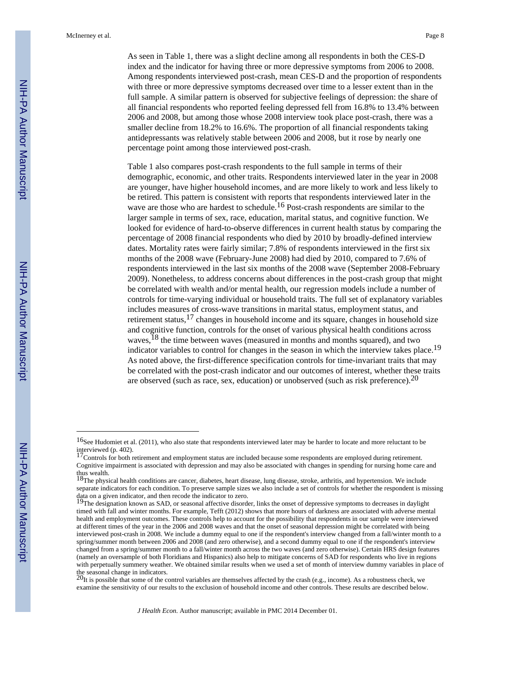As seen in Table 1, there was a slight decline among all respondents in both the CES-D index and the indicator for having three or more depressive symptoms from 2006 to 2008. Among respondents interviewed post-crash, mean CES-D and the proportion of respondents with three or more depressive symptoms decreased over time to a lesser extent than in the full sample. A similar pattern is observed for subjective feelings of depression: the share of all financial respondents who reported feeling depressed fell from 16.8% to 13.4% between 2006 and 2008, but among those whose 2008 interview took place post-crash, there was a smaller decline from 18.2% to 16.6%. The proportion of all financial respondents taking antidepressants was relatively stable between 2006 and 2008, but it rose by nearly one percentage point among those interviewed post-crash.

Table 1 also compares post-crash respondents to the full sample in terms of their demographic, economic, and other traits. Respondents interviewed later in the year in 2008 are younger, have higher household incomes, and are more likely to work and less likely to be retired. This pattern is consistent with reports that respondents interviewed later in the wave are those who are hardest to schedule.<sup>16</sup> Post-crash respondents are similar to the larger sample in terms of sex, race, education, marital status, and cognitive function. We looked for evidence of hard-to-observe differences in current health status by comparing the percentage of 2008 financial respondents who died by 2010 by broadly-defined interview dates. Mortality rates were fairly similar; 7.8% of respondents interviewed in the first six months of the 2008 wave (February-June 2008) had died by 2010, compared to 7.6% of respondents interviewed in the last six months of the 2008 wave (September 2008-February 2009). Nonetheless, to address concerns about differences in the post-crash group that might be correlated with wealth and/or mental health, our regression models include a number of controls for time-varying individual or household traits. The full set of explanatory variables includes measures of cross-wave transitions in marital status, employment status, and retirement status,  $17$  changes in household income and its square, changes in household size and cognitive function, controls for the onset of various physical health conditions across waves,  $^{18}$  the time between waves (measured in months and months squared), and two indicator variables to control for changes in the season in which the interview takes place.<sup>19</sup> As noted above, the first-difference specification controls for time-invariant traits that may be correlated with the post-crash indicator and our outcomes of interest, whether these traits are observed (such as race, sex, education) or unobserved (such as risk preference).20

<sup>16</sup>See Hudomiet et al. (2011), who also state that respondents interviewed later may be harder to locate and more reluctant to be interviewed (p. 402).

<sup>17</sup>Controls for both retirement and employment status are included because some respondents are employed during retirement. Cognitive impairment is associated with depression and may also be associated with changes in spending for nursing home care and thus wealth.<br><sup>18</sup>The physical health conditions are cancer, diabetes, heart disease, lung disease, stroke, arthritis, and hypertension. We include

separate indicators for each condition. To preserve sample sizes we also include a set of controls for whether the respondent is missing data on a given indicator, and then recode the indicator to zero.<br><sup>19</sup>The designation known as SAD, or seasonal affective disorder, links the onset of depressive symptoms to decreases in daylight

timed with fall and winter months. For example, Tefft (2012) shows that more hours of darkness are associated with adverse mental health and employment outcomes. These controls help to account for the possibility that respondents in our sample were interviewed at different times of the year in the 2006 and 2008 waves and that the onset of seasonal depression might be correlated with being interviewed post-crash in 2008. We include a dummy equal to one if the respondent's interview changed from a fall/winter month to a spring/summer month between 2006 and 2008 (and zero otherwise), and a second dummy equal to one if the respondent's interview changed from a spring/summer month to a fall/winter month across the two waves (and zero otherwise). Certain HRS design features (namely an oversample of both Floridians and Hispanics) also help to mitigate concerns of SAD for respondents who live in regions with perpetually summery weather. We obtained similar results when we used a set of month of interview dummy variables in place of the seasonal change in indicators.<br><sup>20</sup>It is possible that some of the control variables are themselves affected by the crash (e.g., income). As a robustness check, we

examine the sensitivity of our results to the exclusion of household income and other controls. These results are described below.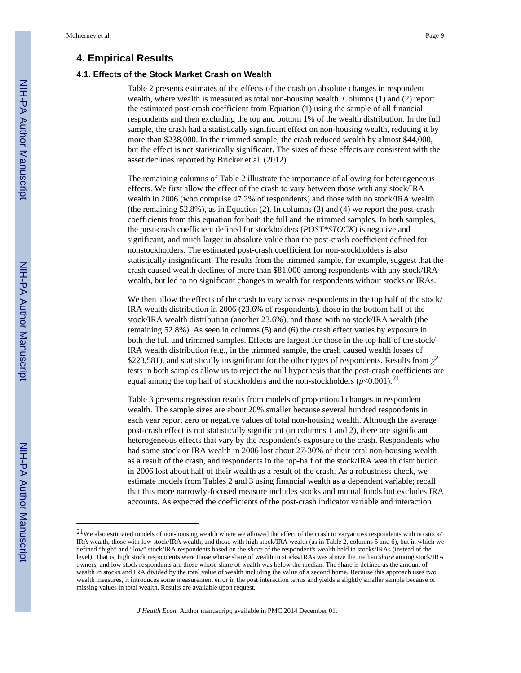#### **4. Empirical Results**

#### **4.1. Effects of the Stock Market Crash on Wealth**

Table 2 presents estimates of the effects of the crash on absolute changes in respondent wealth, where wealth is measured as total non-housing wealth. Columns (1) and (2) report the estimated post-crash coefficient from Equation (1) using the sample of all financial respondents and then excluding the top and bottom 1% of the wealth distribution. In the full sample, the crash had a statistically significant effect on non-housing wealth, reducing it by more than \$238,000. In the trimmed sample, the crash reduced wealth by almost \$44,000, but the effect is not statistically significant. The sizes of these effects are consistent with the asset declines reported by Bricker et al. (2012).

The remaining columns of Table 2 illustrate the importance of allowing for heterogeneous effects. We first allow the effect of the crash to vary between those with any stock/IRA wealth in 2006 (who comprise 47.2% of respondents) and those with no stock/IRA wealth (the remaining 52.8%), as in Equation (2). In columns (3) and (4) we report the post-crash coefficients from this equation for both the full and the trimmed samples. In both samples, the post-crash coefficient defined for stockholders (*POST\*STOCK*) is negative and significant, and much larger in absolute value than the post-crash coefficient defined for nonstockholders. The estimated post-crash coefficient for non-stockholders is also statistically insignificant. The results from the trimmed sample, for example, suggest that the crash caused wealth declines of more than \$81,000 among respondents with any stock/IRA wealth, but led to no significant changes in wealth for respondents without stocks or IRAs.

We then allow the effects of the crash to vary across respondents in the top half of the stock/ IRA wealth distribution in 2006 (23.6% of respondents), those in the bottom half of the stock/IRA wealth distribution (another 23.6%), and those with no stock/IRA wealth (the remaining 52.8%). As seen in columns (5) and (6) the crash effect varies by exposure in both the full and trimmed samples. Effects are largest for those in the top half of the stock/ IRA wealth distribution (e.g., in the trimmed sample, the crash caused wealth losses of \$223,581), and statistically insignificant for the other types of respondents. Results from  $\chi^2$ tests in both samples allow us to reject the null hypothesis that the post-crash coefficients are equal among the top half of stockholders and the non-stockholders (*p*<0.001).21

Table 3 presents regression results from models of proportional changes in respondent wealth. The sample sizes are about 20% smaller because several hundred respondents in each year report zero or negative values of total non-housing wealth. Although the average post-crash effect is not statistically significant (in columns 1 and 2), there are significant heterogeneous effects that vary by the respondent's exposure to the crash. Respondents who had some stock or IRA wealth in 2006 lost about 27-30% of their total non-housing wealth as a result of the crash, and respondents in the top-half of the stock/IRA wealth distribution in 2006 lost about half of their wealth as a result of the crash. As a robustness check, we estimate models from Tables 2 and 3 using financial wealth as a dependent variable; recall that this more narrowly-focused measure includes stocks and mutual funds but excludes IRA accounts. As expected the coefficients of the post-crash indicator variable and interaction

 $21$ We also estimated models of non-housing wealth where we allowed the effect of the crash to varyacross respondents with no stock/ IRA wealth, those with low stock/IRA wealth, and those with high stock/IRA wealth (as in Table 2, columns 5 and 6), but in which we defined "high" and "low" stock/IRA respondents based on the *share* of the respondent's wealth held in stocks/IRAs (instead of the level). That is, high stock respondents were those whose share of wealth in stocks/IRAs was above the median *share* among stock/IRA owners, and low stock respondents are those whose share of wealth was below the median. The share is defined as the amount of wealth in stocks and IRA divided by the total value of wealth including the value of a second home. Because this approach uses two wealth measures, it introduces some measurement error in the post interaction terms and yields a slightly smaller sample because of missing values in total wealth. Results are available upon request.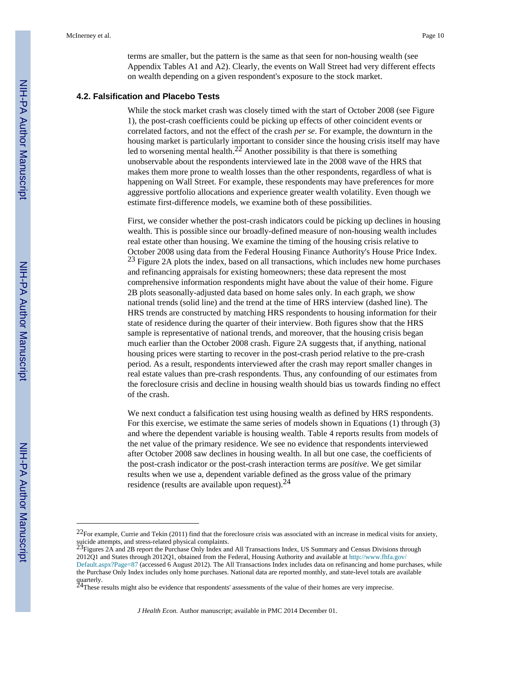terms are smaller, but the pattern is the same as that seen for non-housing wealth (see Appendix Tables A1 and A2). Clearly, the events on Wall Street had very different effects on wealth depending on a given respondent's exposure to the stock market.

#### **4.2. Falsification and Placebo Tests**

While the stock market crash was closely timed with the start of October 2008 (see Figure 1), the post-crash coefficients could be picking up effects of other coincident events or correlated factors, and not the effect of the crash *per se*. For example, the downturn in the housing market is particularly important to consider since the housing crisis itself may have led to worsening mental health.<sup>22</sup> Another possibility is that there is something unobservable about the respondents interviewed late in the 2008 wave of the HRS that makes them more prone to wealth losses than the other respondents, regardless of what is happening on Wall Street. For example, these respondents may have preferences for more aggressive portfolio allocations and experience greater wealth volatility. Even though we estimate first-difference models, we examine both of these possibilities.

First, we consider whether the post-crash indicators could be picking up declines in housing wealth. This is possible since our broadly-defined measure of non-housing wealth includes real estate other than housing. We examine the timing of the housing crisis relative to October 2008 using data from the Federal Housing Finance Authority's House Price Index. <sup>23</sup> Figure 2A plots the index, based on all transactions, which includes new home purchases and refinancing appraisals for existing homeowners; these data represent the most comprehensive information respondents might have about the value of their home. Figure 2B plots seasonally-adjusted data based on home sales only. In each graph, we show national trends (solid line) and the trend at the time of HRS interview (dashed line). The HRS trends are constructed by matching HRS respondents to housing information for their state of residence during the quarter of their interview. Both figures show that the HRS sample is representative of national trends, and moreover, that the housing crisis began much earlier than the October 2008 crash. Figure 2A suggests that, if anything, national housing prices were starting to recover in the post-crash period relative to the pre-crash period. As a result, respondents interviewed after the crash may report smaller changes in real estate values than pre-crash respondents. Thus, any confounding of our estimates from the foreclosure crisis and decline in housing wealth should bias us towards finding no effect of the crash.

We next conduct a falsification test using housing wealth as defined by HRS respondents. For this exercise, we estimate the same series of models shown in Equations (1) through (3) and where the dependent variable is housing wealth. Table 4 reports results from models of the net value of the primary residence. We see no evidence that respondents interviewed after October 2008 saw declines in housing wealth. In all but one case, the coefficients of the post-crash indicator or the post-crash interaction terms are *positive*. We get similar results when we use a, dependent variable defined as the gross value of the primary residence (results are available upon request).24

 $22$ For example, Currie and Tekin (2011) find that the foreclosure crisis was associated with an increase in medical visits for anxiety, suicide attempts, and stress-related physical complaints.<br><sup>23</sup>Figures 2A and 2B report the Purchase Only Index and All Transactions Index, US Summary and Census Divisions through

<sup>2012</sup>Q1 and States through 2012Q1, obtained from the Federal, Housing Authority and available at http://www.fhfa.gov/ Default.aspx?Page=87 (accessed 6 August 2012). The All Transactions Index includes data on refinancing and home purchases, while the Purchase Only Index includes only home purchases. National data are reported monthly, and state-level totals are available

quarterly.<br><sup>24</sup>These results might also be evidence that respondents' assessments of the value of their homes are very imprecise.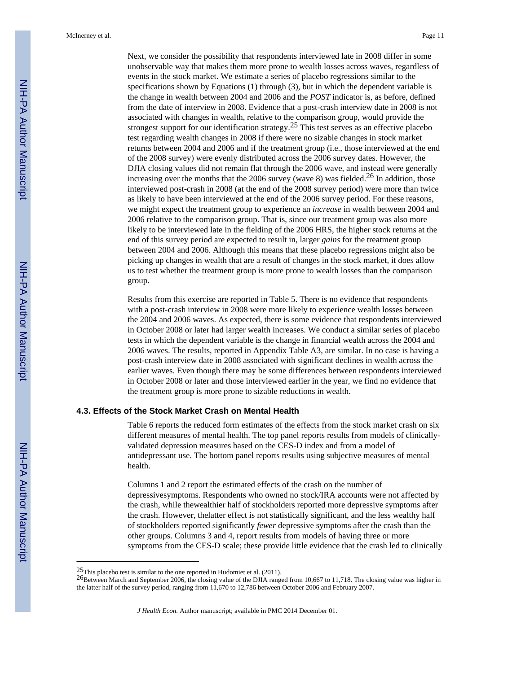Next, we consider the possibility that respondents interviewed late in 2008 differ in some unobservable way that makes them more prone to wealth losses across waves, regardless of events in the stock market. We estimate a series of placebo regressions similar to the specifications shown by Equations (1) through (3), but in which the dependent variable is the change in wealth between 2004 and 2006 and the *POST* indicator is, as before, defined from the date of interview in 2008. Evidence that a post-crash interview date in 2008 is not associated with changes in wealth, relative to the comparison group, would provide the strongest support for our identification strategy.<sup>25</sup> This test serves as an effective placebo test regarding wealth changes in 2008 if there were no sizable changes in stock market returns between 2004 and 2006 and if the treatment group (i.e., those interviewed at the end of the 2008 survey) were evenly distributed across the 2006 survey dates. However, the DJIA closing values did not remain flat through the 2006 wave, and instead were generally increasing over the months that the 2006 survey (wave 8) was fielded.<sup>26</sup> In addition, those interviewed post-crash in 2008 (at the end of the 2008 survey period) were more than twice as likely to have been interviewed at the end of the 2006 survey period. For these reasons, we might expect the treatment group to experience an *increase* in wealth between 2004 and 2006 relative to the comparison group. That is, since our treatment group was also more likely to be interviewed late in the fielding of the 2006 HRS, the higher stock returns at the end of this survey period are expected to result in, larger *gains* for the treatment group between 2004 and 2006. Although this means that these placebo regressions might also be picking up changes in wealth that are a result of changes in the stock market, it does allow us to test whether the treatment group is more prone to wealth losses than the comparison group.

Results from this exercise are reported in Table 5. There is no evidence that respondents with a post-crash interview in 2008 were more likely to experience wealth losses between the 2004 and 2006 waves. As expected, there is some evidence that respondents interviewed in October 2008 or later had larger wealth increases. We conduct a similar series of placebo tests in which the dependent variable is the change in financial wealth across the 2004 and 2006 waves. The results, reported in Appendix Table A3, are similar. In no case is having a post-crash interview date in 2008 associated with significant declines in wealth across the earlier waves. Even though there may be some differences between respondents interviewed in October 2008 or later and those interviewed earlier in the year, we find no evidence that the treatment group is more prone to sizable reductions in wealth.

#### **4.3. Effects of the Stock Market Crash on Mental Health**

Table 6 reports the reduced form estimates of the effects from the stock market crash on six different measures of mental health. The top panel reports results from models of clinicallyvalidated depression measures based on the CES-D index and from a model of antidepressant use. The bottom panel reports results using subjective measures of mental health.

Columns 1 and 2 report the estimated effects of the crash on the number of depressivesymptoms. Respondents who owned no stock/IRA accounts were not affected by the crash, while thewealthier half of stockholders reported more depressive symptoms after the crash. However, thelatter effect is not statistically significant, and the less wealthy half of stockholders reported significantly *fewer* depressive symptoms after the crash than the other groups. Columns 3 and 4, report results from models of having three or more symptoms from the CES-D scale; these provide little evidence that the crash led to clinically

<sup>25</sup>This placebo test is similar to the one reported in Hudomiet et al. (2011).

<sup>&</sup>lt;sup>26</sup>Between March and September 2006, the closing value of the DJIA ranged from 10,667 to 11,718. The closing value was higher in the latter half of the survey period, ranging from 11,670 to 12,786 between October 2006 and February 2007.

*J Health Econ*. Author manuscript; available in PMC 2014 December 01.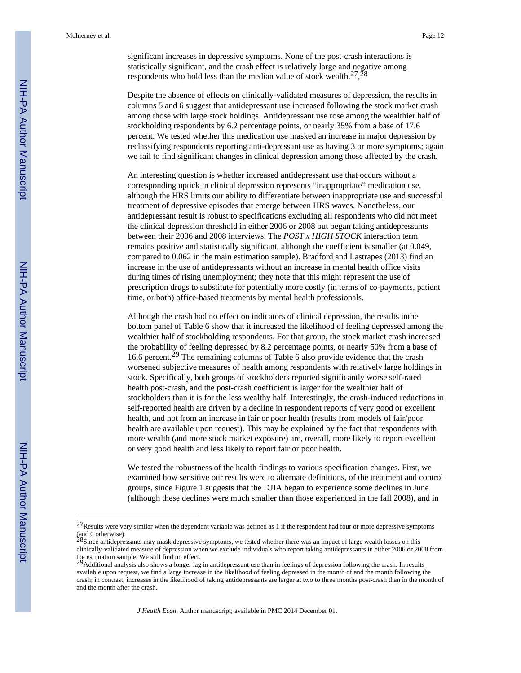significant increases in depressive symptoms. None of the post-crash interactions is statistically significant, and the crash effect is relatively large and negative among respondents who hold less than the median value of stock wealth.<sup>27</sup>, $28$ 

Despite the absence of effects on clinically-validated measures of depression, the results in columns 5 and 6 suggest that antidepressant use increased following the stock market crash among those with large stock holdings. Antidepressant use rose among the wealthier half of stockholding respondents by 6.2 percentage points, or nearly 35% from a base of 17.6 percent. We tested whether this medication use masked an increase in major depression by reclassifying respondents reporting anti-depressant use as having 3 or more symptoms; again we fail to find significant changes in clinical depression among those affected by the crash.

An interesting question is whether increased antidepressant use that occurs without a corresponding uptick in clinical depression represents "inappropriate" medication use, although the HRS limits our ability to differentiate between inappropriate use and successful treatment of depressive episodes that emerge between HRS waves. Nonetheless, our antidepressant result is robust to specifications excluding all respondents who did not meet the clinical depression threshold in either 2006 or 2008 but began taking antidepressants between their 2006 and 2008 interviews. The *POST x HIGH STOCK* interaction term remains positive and statistically significant, although the coefficient is smaller (at 0.049, compared to 0.062 in the main estimation sample). Bradford and Lastrapes (2013) find an increase in the use of antidepressants without an increase in mental health office visits during times of rising unemployment; they note that this might represent the use of prescription drugs to substitute for potentially more costly (in terms of co-payments, patient time, or both) office-based treatments by mental health professionals.

Although the crash had no effect on indicators of clinical depression, the results inthe bottom panel of Table 6 show that it increased the likelihood of feeling depressed among the wealthier half of stockholding respondents. For that group, the stock market crash increased the probability of feeling depressed by 8.2 percentage points, or nearly 50% from a base of 16.6 percent.<sup>29</sup> The remaining columns of Table 6 also provide evidence that the crash worsened subjective measures of health among respondents with relatively large holdings in stock. Specifically, both groups of stockholders reported significantly worse self-rated health post-crash, and the post-crash coefficient is larger for the wealthier half of stockholders than it is for the less wealthy half. Interestingly, the crash-induced reductions in self-reported health are driven by a decline in respondent reports of very good or excellent health, and not from an increase in fair or poor health (results from models of fair/poor health are available upon request). This may be explained by the fact that respondents with more wealth (and more stock market exposure) are, overall, more likely to report excellent or very good health and less likely to report fair or poor health.

We tested the robustness of the health findings to various specification changes. First, we examined how sensitive our results were to alternate definitions, of the treatment and control groups, since Figure 1 suggests that the DJIA began to experience some declines in June (although these declines were much smaller than those experienced in the fall 2008), and in

<sup>27</sup>Results were very similar when the dependent variable was defined as 1 if the respondent had four or more depressive symptoms (and 0 otherwise).<br><sup>28</sup>Since antidepressants may mask depressive symptoms, we tested whether there was an impact of large wealth losses on this

clinically-validated measure of depression when we exclude individuals who report taking antidepressants in either 2006 or 2008 from the estimation sample. We still find no effect.<br><sup>29</sup>Additional analysis also shows a longer lag in antidepressant use than in feelings of depression following the crash. In results

available upon request, we find a large increase in the likelihood of feeling depressed in the month of and the month following the crash; in contrast, increases in the likelihood of taking antidepressants are larger at two to three months post-crash than in the month of and the month after the crash.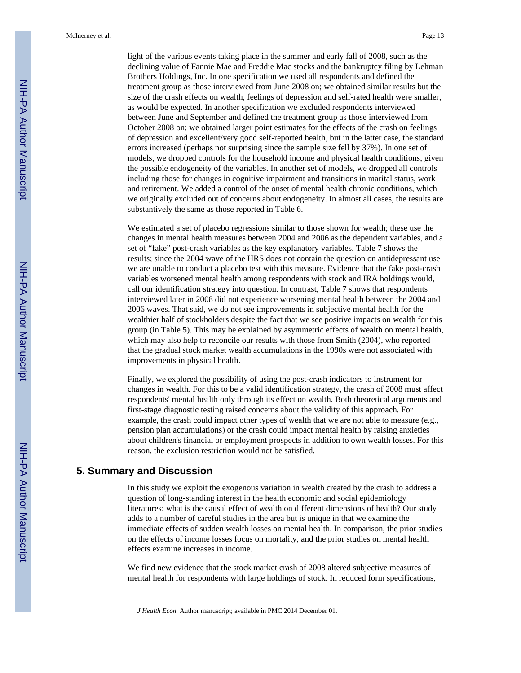light of the various events taking place in the summer and early fall of 2008, such as the declining value of Fannie Mae and Freddie Mac stocks and the bankruptcy filing by Lehman Brothers Holdings, Inc. In one specification we used all respondents and defined the treatment group as those interviewed from June 2008 on; we obtained similar results but the size of the crash effects on wealth, feelings of depression and self-rated health were smaller, as would be expected. In another specification we excluded respondents interviewed between June and September and defined the treatment group as those interviewed from October 2008 on; we obtained larger point estimates for the effects of the crash on feelings of depression and excellent/very good self-reported health, but in the latter case, the standard errors increased (perhaps not surprising since the sample size fell by 37%). In one set of models, we dropped controls for the household income and physical health conditions, given the possible endogeneity of the variables. In another set of models, we dropped all controls including those for changes in cognitive impairment and transitions in marital status, work and retirement. We added a control of the onset of mental health chronic conditions, which we originally excluded out of concerns about endogeneity. In almost all cases, the results are substantively the same as those reported in Table 6.

We estimated a set of placebo regressions similar to those shown for wealth; these use the changes in mental health measures between 2004 and 2006 as the dependent variables, and a set of "fake" post-crash variables as the key explanatory variables. Table 7 shows the results; since the 2004 wave of the HRS does not contain the question on antidepressant use we are unable to conduct a placebo test with this measure. Evidence that the fake post-crash variables worsened mental health among respondents with stock and IRA holdings would, call our identification strategy into question. In contrast, Table 7 shows that respondents interviewed later in 2008 did not experience worsening mental health between the 2004 and 2006 waves. That said, we do not see improvements in subjective mental health for the wealthier half of stockholders despite the fact that we see positive impacts on wealth for this group (in Table 5). This may be explained by asymmetric effects of wealth on mental health, which may also help to reconcile our results with those from Smith (2004), who reported that the gradual stock market wealth accumulations in the 1990s were not associated with improvements in physical health.

Finally, we explored the possibility of using the post-crash indicators to instrument for changes in wealth. For this to be a valid identification strategy, the crash of 2008 must affect respondents' mental health only through its effect on wealth. Both theoretical arguments and first-stage diagnostic testing raised concerns about the validity of this approach. For example, the crash could impact other types of wealth that we are not able to measure (e.g., pension plan accumulations) or the crash could impact mental health by raising anxieties about children's financial or employment prospects in addition to own wealth losses. For this reason, the exclusion restriction would not be satisfied.

#### **5. Summary and Discussion**

In this study we exploit the exogenous variation in wealth created by the crash to address a question of long-standing interest in the health economic and social epidemiology literatures: what is the causal effect of wealth on different dimensions of health? Our study adds to a number of careful studies in the area but is unique in that we examine the immediate effects of sudden wealth losses on mental health. In comparison, the prior studies on the effects of income losses focus on mortality, and the prior studies on mental health effects examine increases in income.

We find new evidence that the stock market crash of 2008 altered subjective measures of mental health for respondents with large holdings of stock. In reduced form specifications,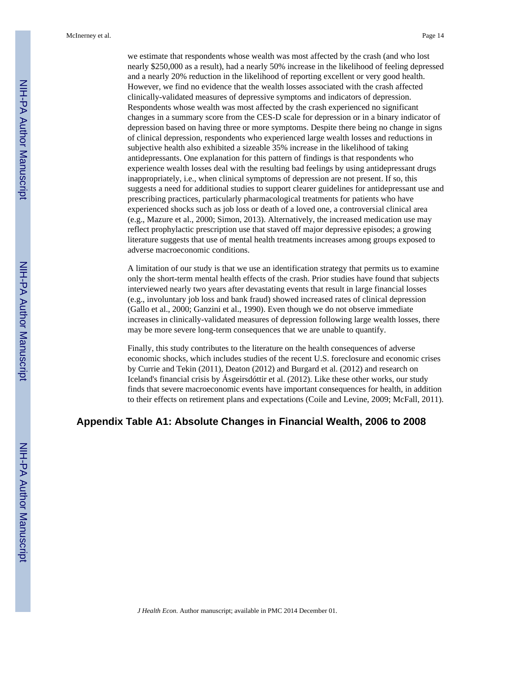we estimate that respondents whose wealth was most affected by the crash (and who lost nearly \$250,000 as a result), had a nearly 50% increase in the likelihood of feeling depressed and a nearly 20% reduction in the likelihood of reporting excellent or very good health. However, we find no evidence that the wealth losses associated with the crash affected clinically-validated measures of depressive symptoms and indicators of depression. Respondents whose wealth was most affected by the crash experienced no significant changes in a summary score from the CES-D scale for depression or in a binary indicator of depression based on having three or more symptoms. Despite there being no change in signs of clinical depression, respondents who experienced large wealth losses and reductions in subjective health also exhibited a sizeable 35% increase in the likelihood of taking antidepressants. One explanation for this pattern of findings is that respondents who experience wealth losses deal with the resulting bad feelings by using antidepressant drugs inappropriately, i.e., when clinical symptoms of depression are not present. If so, this suggests a need for additional studies to support clearer guidelines for antidepressant use and prescribing practices, particularly pharmacological treatments for patients who have experienced shocks such as job loss or death of a loved one, a controversial clinical area (e.g., Mazure et al., 2000; Simon, 2013). Alternatively, the increased medication use may reflect prophylactic prescription use that staved off major depressive episodes; a growing literature suggests that use of mental health treatments increases among groups exposed to adverse macroeconomic conditions.

A limitation of our study is that we use an identification strategy that permits us to examine only the short-term mental health effects of the crash. Prior studies have found that subjects interviewed nearly two years after devastating events that result in large financial losses (e.g., involuntary job loss and bank fraud) showed increased rates of clinical depression (Gallo et al., 2000; Ganzini et al., 1990). Even though we do not observe immediate increases in clinically-validated measures of depression following large wealth losses, there may be more severe long-term consequences that we are unable to quantify.

Finally, this study contributes to the literature on the health consequences of adverse economic shocks, which includes studies of the recent U.S. foreclosure and economic crises by Currie and Tekin (2011), Deaton (2012) and Burgard et al. (2012) and research on Iceland's financial crisis by Ásgeirsdóttir et al. (2012). Like these other works, our study finds that severe macroeconomic events have important consequences for health, in addition to their effects on retirement plans and expectations (Coile and Levine, 2009; McFall, 2011).

#### **Appendix Table A1: Absolute Changes in Financial Wealth, 2006 to 2008**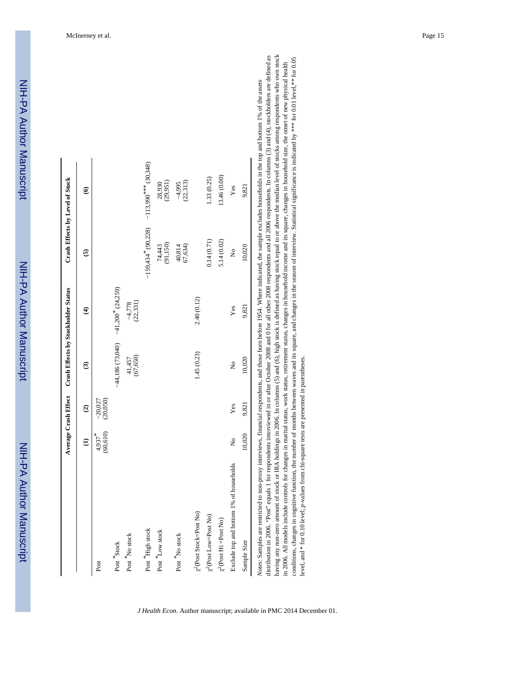|                                             | Average Crash Effect |                       | Crash Effects by Stockholder Status  |                        |                                  | Crash Effects by Level of Stock    |
|---------------------------------------------|----------------------|-----------------------|--------------------------------------|------------------------|----------------------------------|------------------------------------|
|                                             | $\widehat{E}$        | $\widehat{c}$         | $\widehat{\mathbf{c}}$               | $\widehat{\mathbf{f}}$ | $\overline{6}$                   | $\widehat{\bullet}$                |
| Post                                        | (60, 610)<br>4,937*  | $-20,027$<br>(20,050) |                                      |                        |                                  |                                    |
| Post *Stock                                 |                      |                       | $-44,186(73,040)$ $-41,200*(24,259)$ |                        |                                  |                                    |
| Post *No stock                              |                      |                       | (67, 650)<br>41,457                  | (22, 331)<br>$-4,778$  |                                  |                                    |
| Post *High stock                            |                      |                       |                                      |                        | $-159,434$ <sup>*</sup> (90,228) | $-113,990$ <sup>***</sup> (30,348) |
| Post "Low stock                             |                      |                       |                                      |                        | 74,443<br>(91,150)               | 28,930<br>(29,951)                 |
| Post No stock                               |                      |                       |                                      |                        | 67,634)<br>40,814                | (22, 313)<br>$-4,995$              |
| $\chi^2$ (Post Stock=Post No)               |                      |                       | 1.45 (0.23)                          | 2.40 (0.12)            |                                  |                                    |
| $\chi^2$ (Post Low=Post No)                 |                      |                       |                                      |                        | 0.14(0.71)                       | 1.33 (0.25)                        |
| $\chi^2$ (Post Hi =Post No)                 |                      |                       |                                      |                        | 5.14 (0.02)                      | 13.46 (0.00)                       |
| % of households<br>Exclude top and bottom 1 | $\tilde{z}$          | Yes                   | ż                                    | Yes                    | $\frac{1}{2}$                    | Yes                                |
| Sample Size                                 | 10,020               | 9,821                 | 10,020                               | 9,821                  | 10,020                           | 9,821                              |

respondents who own stock having any non-zero amount of stock or IRA holdings in 2006. In columns (5) and (6), high stock is defined as having stock equal to or above the median level of stocks among respondents who own stock stockholders are defined as conditions, changes in cognitive function, the number of months between waves and its square, and changes in the season of interview. Statistical significance is indicated by \*\*\* for 0.01 level, \*\* for 0.05 distribution in 2006. "Post" equals 1 for respondents interviewed in or after October 2008 and 0 for all other 2008 respondents and all 2006 respondents. In columns (3) and (4), stockholders are defined as conditions, changes in cognitive function, the number of months between waves and its square, and changes in the season of interview. Statistical significance is indicated by \*\*\* for 0.01 level,\*\* for 0.05 in 2006. All models include controls for changes in marital status, work status, retirement status, changes in household income and its square, changes in household size, the onset of new physical health  $\sim$ in 2006. All models include controls for changes in marital status, work status, retirement status, changes in household income and its square, changes in household size, the onset of new physical health n 1% of the assets Notes: Samples are restricted to non-proxy interviews, financial respondents, and those born before 1954. Where indicated, the sample excludes households in the top and bottom 1% of the assets level, and \* for 0.10 level; p-values from chi-square tests are presented in parentheses. level, and \* for 0.10 level; *p*-values from chi-square tests are presented in parentheses.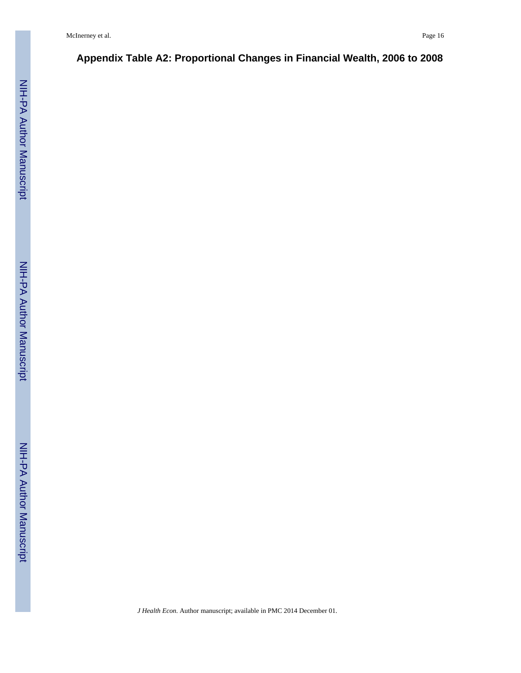#### **Appendix Table A2: Proportional Changes in Financial Wealth, 2006 to 2008**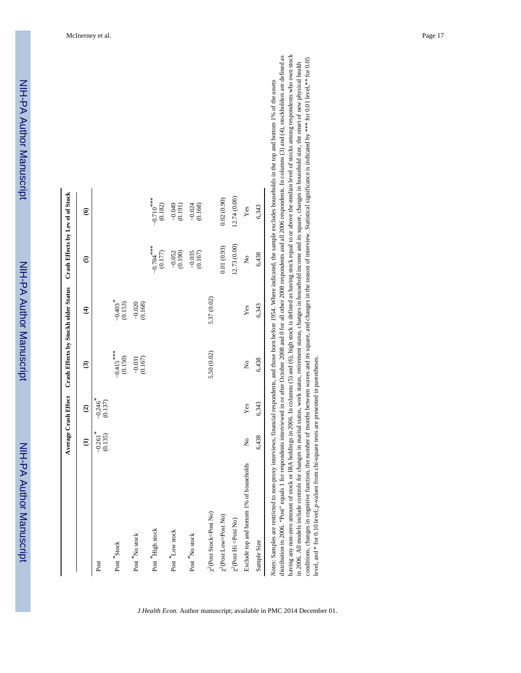|                                         |                     |                                  |                         | Average Crash Effect Crash Effects by Stockh older Status | Crash Effects by Lev el of Stock |                        |
|-----------------------------------------|---------------------|----------------------------------|-------------------------|-----------------------------------------------------------|----------------------------------|------------------------|
|                                         | $\widehat{a}$       | $\widehat{c}$                    | $\widehat{\mathbf{c}}$  | $\widehat{\mathbf{t}}$                                    | $\overline{6}$                   | $\widehat{\bullet}$    |
| Post                                    | (0.135)<br>$-0.261$ | $-0.246$ <sup>*</sup><br>(0.137) |                         |                                                           |                                  |                        |
| Post Stock                              |                     |                                  | $-0.415$ ***<br>(0.150) | $-0.403$ <sup>*</sup><br>(0.153)                          |                                  |                        |
| Post No stock                           |                     |                                  | (0.167)<br>$-0.031$     | $-0.020$<br>$(0.168)$                                     |                                  |                        |
| Post "High stock                        |                     |                                  |                         |                                                           | $-0.704$ ***<br>(0.177)          | $-0.710***$<br>(0.182) |
| Post Low stock                          |                     |                                  |                         |                                                           | (0.190)<br>$-0.052$              | $-0.049$<br>(0.191)    |
| Post *No stock                          |                     |                                  |                         |                                                           | $-0.035$<br>(0.167)              | (0.168)<br>$-0.024$    |
| $\chi^2$ (Post Stock=Post No)           |                     |                                  | 5.50 (0.02)             | 5.37 (0.02)                                               |                                  |                        |
| $\chi^2$ (Post Low=Post No)             |                     |                                  |                         |                                                           | 0.01(0.93)                       | 0.02(0.90)             |
| $\chi^2$ (Post Hi =Post No)             |                     |                                  |                         |                                                           | 12.73 (0.00)                     | 12.74 (0.00)           |
| Exclude top and bottom 1% of households | $\frac{1}{2}$       | Yes                              | Σ,                      | Yes                                                       | Ş                                | Yes                    |
| Sample Size                             | 6,438               | 6,343                            | 6,438                   | 6,343                                                     | 6,438                            | 6,343                  |

*J Health Econ*. Author manuscript; available in PMC 2014 December 01.

among respondents who own stock and  $(4)$  , stockholders are defined as having any non-zero amount of stock or IRA holdings in 2006. In columns (5) and (6), high stock is defined as having stock equal to or above the median level of stocks among respondents who own stock in 2006. All models include controls for changes in marital status, work status, retirement status, changes in household income and its square, changes in household size, the onset of new physical health conditions, chang distribution in 2006. "Post" equals 1 for respondents interviewed in or after October 2008 and 0 for all other 2008 respondents and all 2006 respondents. In columns (3) and (4), stockholders are defined as conditions, changes in cognitive function, the number of months between waves and its square, and changes in the season of interview. Statistical significance is indicated by \*\*\* for 0.01 level,\*\* for 0.05 in 2006. All models include controls for changes in marital status, work status, retirement status, changes in household income and its square, changes in household size, the onset of new physical health nd bottom 1% of the assets Notes: Samples are restricted to non-proxy interviews, financial respondents, and those born before 1954. Where indicated, the sample excludes households in the top and bottom 1% of the assets level, and \* for 0.10 level; p-values from chi-square tests are presented in parentheses. level, and \* for 0.10 level; *p*-values from chi-square tests are presented in parentheses.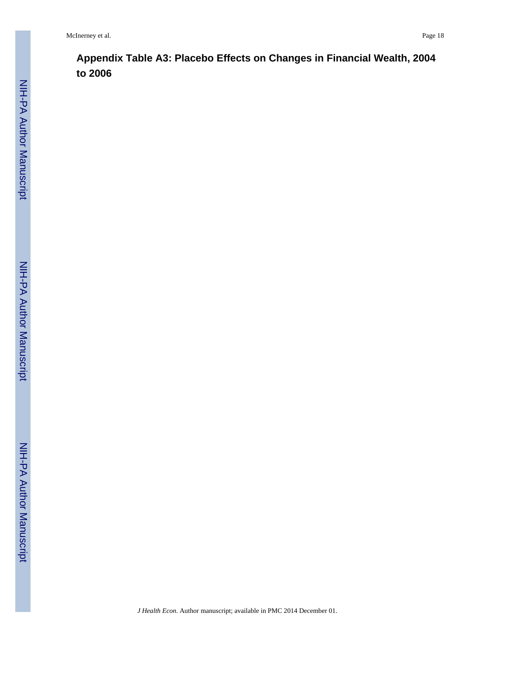**Appendix Table A3: Placebo Effects on Changes in Financial Wealth, 2004 to 2006**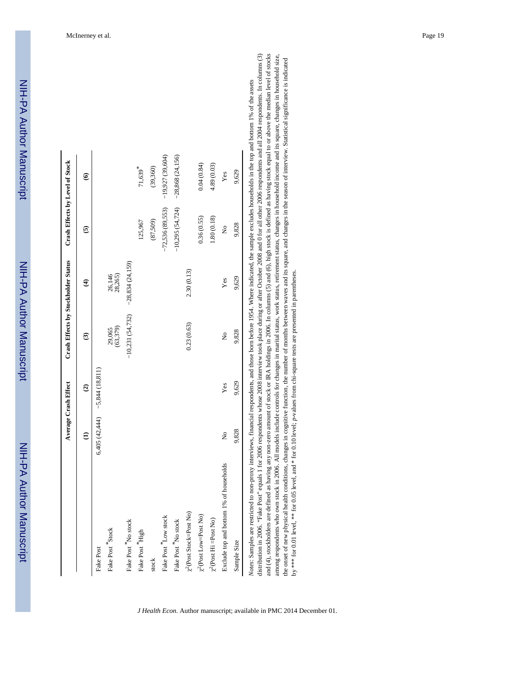|                                                                                                                                                                                                                                                                                                                                                                                                                                                                                                                                                                                                                                                                                                                                                                                                                                                                                                                                                                                                                                                                                                                                                                                                      |                | Average Crash Effect |                        | Crash Effects by Stockholder Status |                      | Crash Effects by Level of Stock |
|------------------------------------------------------------------------------------------------------------------------------------------------------------------------------------------------------------------------------------------------------------------------------------------------------------------------------------------------------------------------------------------------------------------------------------------------------------------------------------------------------------------------------------------------------------------------------------------------------------------------------------------------------------------------------------------------------------------------------------------------------------------------------------------------------------------------------------------------------------------------------------------------------------------------------------------------------------------------------------------------------------------------------------------------------------------------------------------------------------------------------------------------------------------------------------------------------|----------------|----------------------|------------------------|-------------------------------------|----------------------|---------------------------------|
|                                                                                                                                                                                                                                                                                                                                                                                                                                                                                                                                                                                                                                                                                                                                                                                                                                                                                                                                                                                                                                                                                                                                                                                                      | $\widehat{E}$  | $\widehat{c}$        | $\widehat{\mathbf{c}}$ | $\widehat{\mathbf{f}}$              | $\overline{6}$       | $\widehat{\bullet}$             |
| Fake Post                                                                                                                                                                                                                                                                                                                                                                                                                                                                                                                                                                                                                                                                                                                                                                                                                                                                                                                                                                                                                                                                                                                                                                                            | 6,405 (42,444) | $-5,844(18,811)$     |                        |                                     |                      |                                 |
| Fake Post "Stock                                                                                                                                                                                                                                                                                                                                                                                                                                                                                                                                                                                                                                                                                                                                                                                                                                                                                                                                                                                                                                                                                                                                                                                     |                |                      | (63,379)<br>29,065     | 26,146<br>28,265)                   |                      |                                 |
| Fake Post *No stock                                                                                                                                                                                                                                                                                                                                                                                                                                                                                                                                                                                                                                                                                                                                                                                                                                                                                                                                                                                                                                                                                                                                                                                  |                |                      |                        | $-10,231(54,732)$ $-28,834(24,159)$ |                      |                                 |
| Fake Post *High                                                                                                                                                                                                                                                                                                                                                                                                                                                                                                                                                                                                                                                                                                                                                                                                                                                                                                                                                                                                                                                                                                                                                                                      |                |                      |                        |                                     | 125,967              | $71,639$ <sup>*</sup>           |
| stock                                                                                                                                                                                                                                                                                                                                                                                                                                                                                                                                                                                                                                                                                                                                                                                                                                                                                                                                                                                                                                                                                                                                                                                                |                |                      |                        |                                     | (87,509)             | (39,360)                        |
| Fake Post Low stock                                                                                                                                                                                                                                                                                                                                                                                                                                                                                                                                                                                                                                                                                                                                                                                                                                                                                                                                                                                                                                                                                                                                                                                  |                |                      |                        |                                     | $-72,536(89,553)$    | $-19,927(39,604)$               |
| Fake Post *No stock                                                                                                                                                                                                                                                                                                                                                                                                                                                                                                                                                                                                                                                                                                                                                                                                                                                                                                                                                                                                                                                                                                                                                                                  |                |                      |                        |                                     | $-10,295(54,724)$    | $-28,868(24,156)$               |
| $\chi^2$ (Post Stock=Post No)                                                                                                                                                                                                                                                                                                                                                                                                                                                                                                                                                                                                                                                                                                                                                                                                                                                                                                                                                                                                                                                                                                                                                                        |                |                      | 0.23(0.63)             | 2.30(0.13)                          |                      |                                 |
| $\chi^2$ (Post Low=Post No)                                                                                                                                                                                                                                                                                                                                                                                                                                                                                                                                                                                                                                                                                                                                                                                                                                                                                                                                                                                                                                                                                                                                                                          |                |                      |                        |                                     | 0.36(0.55)           | 0.04(0.84)                      |
| $\chi^2$ (Post Hi =Post No)                                                                                                                                                                                                                                                                                                                                                                                                                                                                                                                                                                                                                                                                                                                                                                                                                                                                                                                                                                                                                                                                                                                                                                          |                |                      |                        |                                     | 1.80(0.18)           | 4.89 (0.03)                     |
| Exclude top and bottom 1% of households                                                                                                                                                                                                                                                                                                                                                                                                                                                                                                                                                                                                                                                                                                                                                                                                                                                                                                                                                                                                                                                                                                                                                              | ż              | Yes                  | ż                      | Yes                                 | $\mathsf{S}^{\circ}$ | Yes                             |
| Sample Size                                                                                                                                                                                                                                                                                                                                                                                                                                                                                                                                                                                                                                                                                                                                                                                                                                                                                                                                                                                                                                                                                                                                                                                          | 9,828          | 9,629                | 9,828                  | 9,629                               | 9,828                | 9,629                           |
| and (4), stockholders are defined as having any non-zero amount of stock or IRA holdings in 2006. In columns (5) and (6), high stock is defined as having stock equal to or above the median level of stocks<br>distribution in 2006. "Fake Post" equals 1 for 2006 respondents whose 2008 interview took place during or after October 2008 and 0 for all other 2006 respondents and all 2004 respondents. In columns (3)<br>among respondents who own stock in 2006. All models include controls for changes in marital status, work status, retirement status, changes in household income and its square, changes in household size,<br>the onset of new physical health conditions, changes in cognitive function, the number of months between waves and its square, and changes in the season of interview. Statistical significance is indicated<br>Notes: Samples are restricted to non-proxy interviews, financial respondents, and those born before 1954. Where indicated, the sample excludes households in the top and bottom 1% of the assets<br>by *** for 0.01 level, ** for 0.05 level, and * for 0.10 level; <i>p</i> -values from chi-square tests are presented in parentheses. |                |                      |                        |                                     |                      |                                 |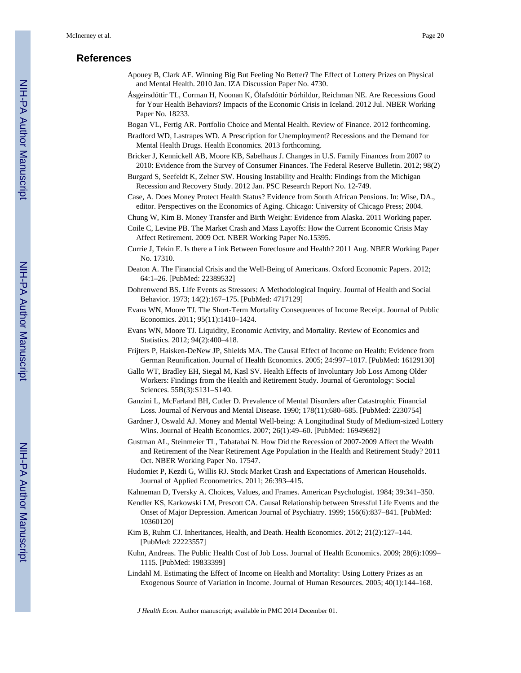#### **References**

- Apouey B, Clark AE. Winning Big But Feeling No Better? The Effect of Lottery Prizes on Physical and Mental Health. 2010 Jan. IZA Discussion Paper No. 4730.
- Ásgeirsdóttir TL, Corman H, Noonan K, Ólafsdóttir Þórhildur, Reichman NE. Are Recessions Good for Your Health Behaviors? Impacts of the Economic Crisis in Iceland. 2012 Jul. NBER Working Paper No. 18233.
- Bogan VL, Fertig AR. Portfolio Choice and Mental Health. Review of Finance. 2012 forthcoming.
- Bradford WD, Lastrapes WD. A Prescription for Unemployment? Recessions and the Demand for Mental Health Drugs. Health Economics. 2013 forthcoming.
- Bricker J, Kennickell AB, Moore KB, Sabelhaus J. Changes in U.S. Family Finances from 2007 to 2010: Evidence from the Survey of Consumer Finances. The Federal Reserve Bulletin. 2012; 98(2)
- Burgard S, Seefeldt K, Zelner SW. Housing Instability and Health: Findings from the Michigan Recession and Recovery Study. 2012 Jan. PSC Research Report No. 12-749.
- Case, A. Does Money Protect Health Status? Evidence from South African Pensions. In: Wise, DA., editor. Perspectives on the Economics of Aging. Chicago: University of Chicago Press; 2004.
- Chung W, Kim B. Money Transfer and Birth Weight: Evidence from Alaska. 2011 Working paper.
- Coile C, Levine PB. The Market Crash and Mass Layoffs: How the Current Economic Crisis May Affect Retirement. 2009 Oct. NBER Working Paper No.15395.
- Currie J, Tekin E. Is there a Link Between Foreclosure and Health? 2011 Aug. NBER Working Paper No. 17310.
- Deaton A. The Financial Crisis and the Well-Being of Americans. Oxford Economic Papers. 2012; 64:1–26. [PubMed: 22389532]
- Dohrenwend BS. Life Events as Stressors: A Methodological Inquiry. Journal of Health and Social Behavior. 1973; 14(2):167–175. [PubMed: 4717129]
- Evans WN, Moore TJ. The Short-Term Mortality Consequences of Income Receipt. Journal of Public Economics. 2011; 95(11):1410–1424.
- Evans WN, Moore TJ. Liquidity, Economic Activity, and Mortality. Review of Economics and Statistics. 2012; 94(2):400–418.
- Frijters P, Haisken-DeNew JP, Shields MA. The Causal Effect of Income on Health: Evidence from German Reunification. Journal of Health Economics. 2005; 24:997–1017. [PubMed: 16129130]
- Gallo WT, Bradley EH, Siegal M, Kasl SV. Health Effects of Involuntary Job Loss Among Older Workers: Findings from the Health and Retirement Study. Journal of Gerontology: Social Sciences. 55B(3):S131–S140.
- Ganzini L, McFarland BH, Cutler D. Prevalence of Mental Disorders after Catastrophic Financial Loss. Journal of Nervous and Mental Disease. 1990; 178(11):680–685. [PubMed: 2230754]
- Gardner J, Oswald AJ. Money and Mental Well-being: A Longitudinal Study of Medium-sized Lottery Wins. Journal of Health Economics. 2007; 26(1):49–60. [PubMed: 16949692]
- Gustman AL, Steinmeier TL, Tabatabai N. How Did the Recession of 2007-2009 Affect the Wealth and Retirement of the Near Retirement Age Population in the Health and Retirement Study? 2011 Oct. NBER Working Paper No. 17547.
- Hudomiet P, Kezdi G, Willis RJ. Stock Market Crash and Expectations of American Households. Journal of Applied Econometrics. 2011; 26:393–415.
- Kahneman D, Tversky A. Choices, Values, and Frames. American Psychologist. 1984; 39:341–350.
- Kendler KS, Karkowski LM, Prescott CA. Causal Relationship between Stressful Life Events and the Onset of Major Depression. American Journal of Psychiatry. 1999; 156(6):837–841. [PubMed: 10360120]
- Kim B, Ruhm CJ. Inheritances, Health, and Death. Health Economics. 2012; 21(2):127–144. [PubMed: 22223557]
- Kuhn, Andreas. The Public Health Cost of Job Loss. Journal of Health Economics. 2009; 28(6):1099– 1115. [PubMed: 19833399]
- Lindahl M. Estimating the Effect of Income on Health and Mortality: Using Lottery Prizes as an Exogenous Source of Variation in Income. Journal of Human Resources. 2005; 40(1):144–168.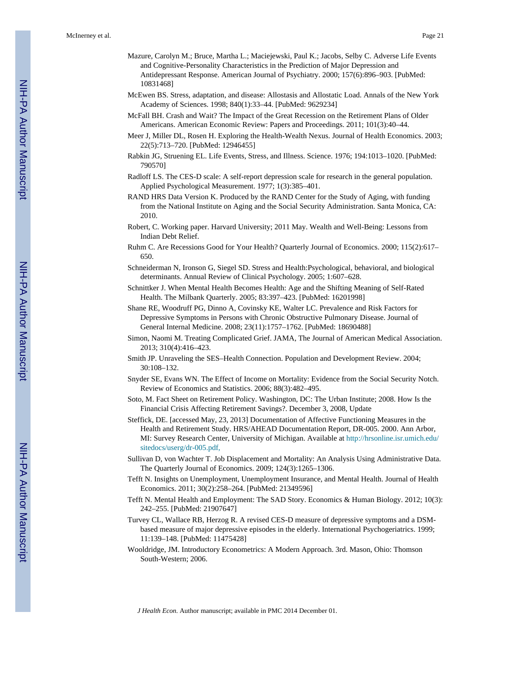- Mazure, Carolyn M.; Bruce, Martha L.; Maciejewski, Paul K.; Jacobs, Selby C. Adverse Life Events and Cognitive-Personality Characteristics in the Prediction of Major Depression and Antidepressant Response. American Journal of Psychiatry. 2000; 157(6):896–903. [PubMed: 10831468]
- McEwen BS. Stress, adaptation, and disease: Allostasis and Allostatic Load. Annals of the New York Academy of Sciences. 1998; 840(1):33–44. [PubMed: 9629234]
- McFall BH. Crash and Wait? The Impact of the Great Recession on the Retirement Plans of Older Americans. American Economic Review: Papers and Proceedings. 2011; 101(3):40–44.
- Meer J, Miller DL, Rosen H. Exploring the Health-Wealth Nexus. Journal of Health Economics. 2003; 22(5):713–720. [PubMed: 12946455]
- Rabkin JG, Struening EL. Life Events, Stress, and Illness. Science. 1976; 194:1013–1020. [PubMed: 790570]
- Radloff LS. The CES-D scale: A self-report depression scale for research in the general population. Applied Psychological Measurement. 1977; 1(3):385–401.
- RAND HRS Data Version K. Produced by the RAND Center for the Study of Aging, with funding from the National Institute on Aging and the Social Security Administration. Santa Monica, CA: 2010.
- Robert, C. Working paper. Harvard University; 2011 May. Wealth and Well-Being: Lessons from Indian Debt Relief.
- Ruhm C. Are Recessions Good for Your Health? Quarterly Journal of Economics. 2000; 115(2):617– 650.
- Schneiderman N, Ironson G, Siegel SD. Stress and Health:Psychological, behavioral, and biological determinants. Annual Review of Clinical Psychology. 2005; 1:607–628.
- Schnittker J. When Mental Health Becomes Health: Age and the Shifting Meaning of Self-Rated Health. The Milbank Quarterly. 2005; 83:397–423. [PubMed: 16201998]
- Shane RE, Woodruff PG, Dinno A, Covinsky KE, Walter LC. Prevalence and Risk Factors for Depressive Symptoms in Persons with Chronic Obstructive Pulmonary Disease. Journal of General Internal Medicine. 2008; 23(11):1757–1762. [PubMed: 18690488]
- Simon, Naomi M. Treating Complicated Grief. JAMA, The Journal of American Medical Association. 2013; 310(4):416–423.
- Smith JP. Unraveling the SES–Health Connection. Population and Development Review. 2004; 30:108–132.
- Snyder SE, Evans WN. The Effect of Income on Mortality: Evidence from the Social Security Notch. Review of Economics and Statistics. 2006; 88(3):482–495.
- Soto, M. Fact Sheet on Retirement Policy. Washington, DC: The Urban Institute; 2008. How Is the Financial Crisis Affecting Retirement Savings?. December 3, 2008, Update
- Steffick, DE. [accessed May, 23, 2013] Documentation of Affective Functioning Measures in the Health and Retirement Study. HRS/AHEAD Documentation Report, DR-005. 2000. Ann Arbor, MI: Survey Research Center, University of Michigan. Available at http://hrsonline.isr.umich.edu/ sitedocs/userg/dr-005.pdf,
- Sullivan D, von Wachter T. Job Displacement and Mortality: An Analysis Using Administrative Data. The Quarterly Journal of Economics. 2009; 124(3):1265–1306.
- Tefft N. Insights on Unemployment, Unemployment Insurance, and Mental Health. Journal of Health Economics. 2011; 30(2):258–264. [PubMed: 21349596]
- Tefft N. Mental Health and Employment: The SAD Story. Economics & Human Biology. 2012; 10(3): 242–255. [PubMed: 21907647]
- Turvey CL, Wallace RB, Herzog R. A revised CES-D measure of depressive symptoms and a DSMbased measure of major depressive episodes in the elderly. International Psychogeriatrics. 1999; 11:139–148. [PubMed: 11475428]
- Wooldridge, JM. Introductory Econometrics: A Modern Approach. 3rd. Mason, Ohio: Thomson South-Western; 2006.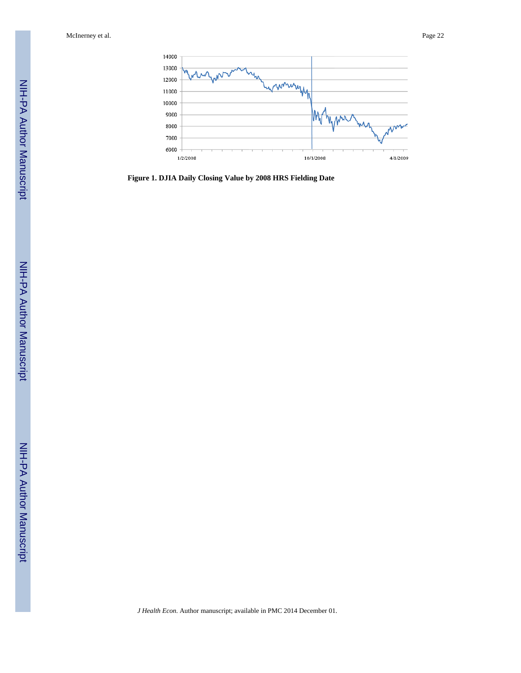

**Figure 1. DJIA Daily Closing Value by 2008 HRS Fielding Date**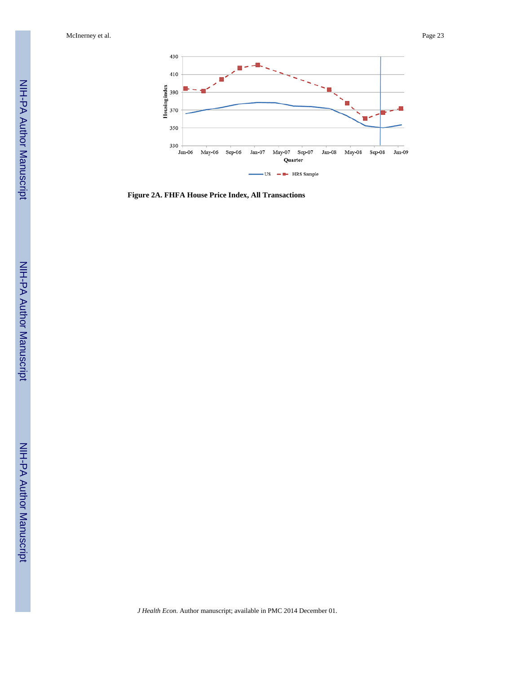

**Figure 2A. FHFA House Price Index, All Transactions**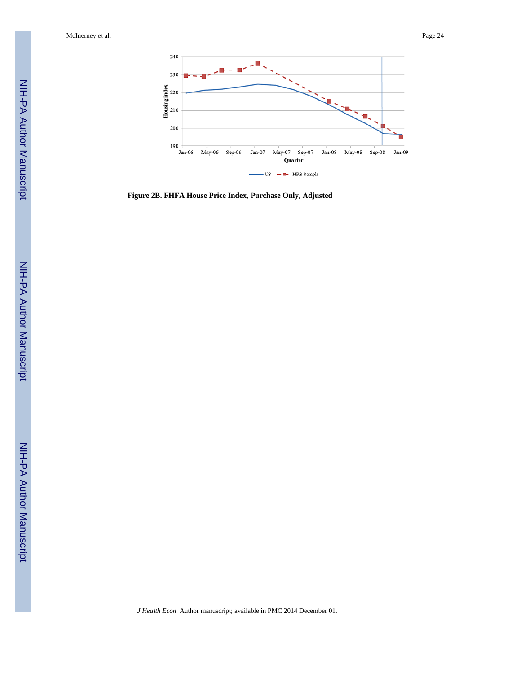

**Figure 2B. FHFA House Price Index, Purchase Only, Adjusted**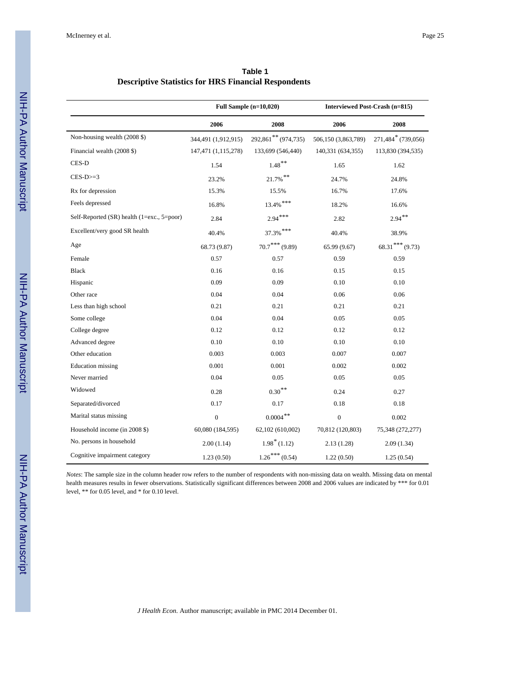|                                                             |  | Table 1 |  |
|-------------------------------------------------------------|--|---------|--|
| <b>Descriptive Statistics for HRS Financial Respondents</b> |  |         |  |

|                                            |                     | Full Sample $(n=10,020)$ |                     | Interviewed Post-Crash (n=815) |
|--------------------------------------------|---------------------|--------------------------|---------------------|--------------------------------|
|                                            | 2006                | 2008                     | 2006                | 2008                           |
| Non-housing wealth (2008 \$)               | 344,491 (1,912,915) | 292,861** (974,735)      | 506,150 (3,863,789) | 271,484 * (739,056)            |
| Financial wealth (2008 \$)                 | 147,471 (1,115,278) | 133,699 (546,440)        | 140,331 (634,355)   | 113,830 (394,535)              |
| CES-D                                      | 1.54                | $1.48***$                | 1.65                | 1.62                           |
| $CES-D>=3$                                 | 23.2%               | 21.7% **                 | 24.7%               | 24.8%                          |
| Rx for depression                          | 15.3%               | 15.5%                    | 16.7%               | 17.6%                          |
| Feels depressed                            | 16.8%               | $13.4\%$ ***             | 18.2%               | 16.6%                          |
| Self-Reported (SR) health (1=exc., 5=poor) | 2.84                | $2.94***$                | 2.82                | $2.94***$                      |
| Excellent/very good SR health              | 40.4%               | $37.3\%$ ***             | 40.4%               | 38.9%                          |
| Age                                        | 68.73 (9.87)        | $70.7***(9.89)$          | 65.99 (9.67)        | $68.31***(9.73)$               |
| Female                                     | 0.57                | 0.57                     | 0.59                | 0.59                           |
| <b>Black</b>                               | 0.16                | 0.16                     | 0.15                | 0.15                           |
| Hispanic                                   | 0.09                | 0.09                     | 0.10                | 0.10                           |
| Other race                                 | 0.04                | 0.04                     | 0.06                | 0.06                           |
| Less than high school                      | 0.21                | 0.21                     | 0.21                | 0.21                           |
| Some college                               | 0.04                | 0.04                     | 0.05                | 0.05                           |
| College degree                             | 0.12                | 0.12                     | 0.12                | 0.12                           |
| Advanced degree                            | 0.10                | 0.10                     | 0.10                | 0.10                           |
| Other education                            | 0.003               | 0.003                    | 0.007               | 0.007                          |
| <b>Education</b> missing                   | 0.001               | 0.001                    | 0.002               | 0.002                          |
| Never married                              | 0.04                | 0.05                     | 0.05                | 0.05                           |
| Widowed                                    | 0.28                | $0.30**$                 | 0.24                | 0.27                           |
| Separated/divorced                         | 0.17                | 0.17                     | 0.18                | 0.18                           |
| Marital status missing                     | $\boldsymbol{0}$    | $0.0004^{**}$            | $\boldsymbol{0}$    | $0.002\,$                      |
| Household income (in 2008 \$)              | 60,080 (184,595)    | 62,102 (610,002)         | 70,812 (120,803)    | 75,348 (272,277)               |
| No. persons in household                   | 2.00(1.14)          | $1.98^*$ (1.12)          | 2.13(1.28)          | 2.09(1.34)                     |
| Cognitive impairment category              | 1.23(0.50)          | $1.26***(0.54)$          | 1.22(0.50)          | 1.25(0.54)                     |

*Notes*: The sample size in the column header row refers to the number of respondents with non-missing data on wealth. Missing data on mental health measures results in fewer observations. Statistically significant differences between 2008 and 2006 values are indicated by \*\*\* for 0.01 level, \*\* for 0.05 level, and \* for 0.10 level.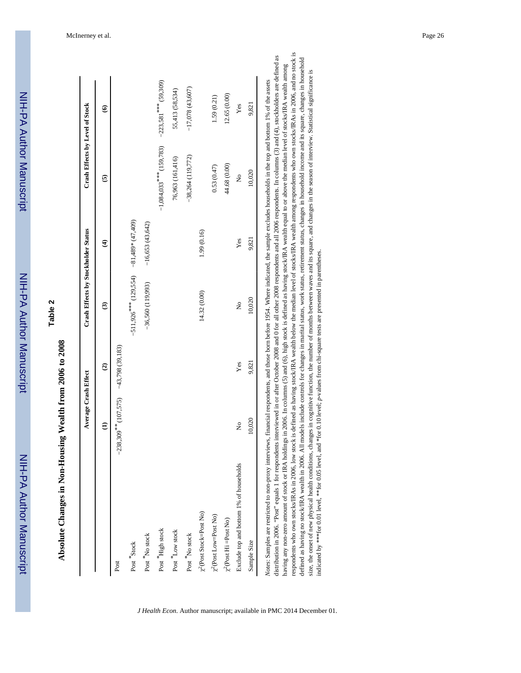| <u>חרו וח</u> |
|---------------|
|               |
|               |
|               |
|               |
|               |
|               |
|               |
|               |
| ì             |
|               |
|               |
|               |
| i             |
| I             |
|               |
|               |
|               |
|               |
|               |
|               |

# **Table 2**

# Absolute Changes in Non-Housing Wealth from 2006 to 2008 **Absolute Changes in Non-Housing Wealth from 2006 to 2008**

|                                              | <b>Average Crash Effect</b>                           |               | Crash Effects by Stockholder Status                      |                        | Crash Effects by Level of Stock |                         |
|----------------------------------------------|-------------------------------------------------------|---------------|----------------------------------------------------------|------------------------|---------------------------------|-------------------------|
|                                              | $\widehat{z}$                                         | $\widehat{c}$ | $\widehat{\mathbf{c}}$                                   | $\widehat{\mathbf{f}}$ | $\mathbf{e}$                    | $\hat{\bullet}$         |
| Post                                         | $-238,309$ <sup>**</sup> (107,575) $-43,798$ (39,183) |               |                                                          |                        |                                 |                         |
| Post *Stock                                  |                                                       |               | $-511,926$ <sup>***</sup> (129,554) $-81,489$ * (47,409) |                        |                                 |                         |
| Post *No stock                               |                                                       |               | $-36,560(119,993)$                                       | $-16,653(43,642)$      |                                 |                         |
| Post *High stock                             |                                                       |               |                                                          |                        | $-1,084,033$ ***(159,783)       | $-223,581$ *** (59,309) |
| $\mathop{\mathrm{Post}}\nolimits$ *Low stock |                                                       |               |                                                          |                        | 76,963 (161,416)                | 55,413 (58,534)         |
| Post *No stock                               |                                                       |               |                                                          |                        | $-38,264(119,772)$              | $-17,078(43,607)$       |
| $\chi^2(\rm Post\,Stock\rm-Post\,No)$        |                                                       |               | 14.32 (0.00)                                             | 1.99 (0.16)            |                                 |                         |
| $\chi^2$ (Post Low=Post No)                  |                                                       |               |                                                          |                        | 0.53(0.47)                      | 1.59 (0.21)             |
| $\chi^2$ (Post Hi =Post No)                  |                                                       |               |                                                          |                        | 44.68 (0.00)                    | 12.65 (0.00)            |
| Exclude top and bottom 1% of households      | ż                                                     | Yes           | ż                                                        | Yes                    | $\frac{1}{2}$                   | Yes                     |
| Sample Size                                  | 10,020                                                | 9,821         | 10,020                                                   | 9,821                  | 10,020                          | 9,821                   |

respondents who own stocks/IRAs in 2006, low stock is defined as having stock/IRA wealth below the median level of stocks/IRA wealth among respondents who own stocks/IRAs in 2006, and no stock is distribution in 2006. "Post" equals 1 for respondents interviewed in or after October 2008 and 0 for all other 2008 respondents and all 2006 respondents. In columns (3) and (4), stockholders are defined as respondents who own stocks/IRAs in 2006, low stock is defined as having stock/IRA wealth below the median level of stocks/IRA wealth among respondents who own stocks/IRAs in 2006, and no stock is defined as having no stock/IRA wealth in 2006. All models include controls for changes in marial status, work status, retirement status, changes in household income and its square, changes in household distribution in 2006. "Post" equals 1 for respondents interviewed in or after October 2008 and 0 for all other 2008 respondents and all 2006 respondents. In columns (3) and (4), stockholders are defined as defined as having no stock/IRA wealth in 2006. All models include controls for changes in marital status, work status, retirement status, changes in household income and its square, changes in household having any non-zero amount of stock or IRA holdings in 2006. In columns (5) and (6), high stock is defined as having stock/IRA wealth equal to or above the median level of stocks/IRA wealth among having any non-zero amount of stock or IRA holdings in 2006. In columns (5) and (6), high stock is defined as having stock/IRA wealth equal to or above the median level of stocks/IRA wealth among size, the onset of new physical health conditions, changes in cognitive function, the number of months between waves and its square, and changes in the season of interview. Statistical significance is size, the onset of new physical health conditions, changes in cognitive function, the number of months between waves and its square, and changes in the season of interview. Statistical significance is indicated by \*\*\*for 0.01 level, \*\*for 0.05 level, and \*for 0.10 level; p-values from chi-square tests are presented in parentheses. indicated by \*\*\*for 0.01 level, \*\*for 0.05 level, and \*for 0.10 level; *p*-values from chi-square tests are presented in parentheses.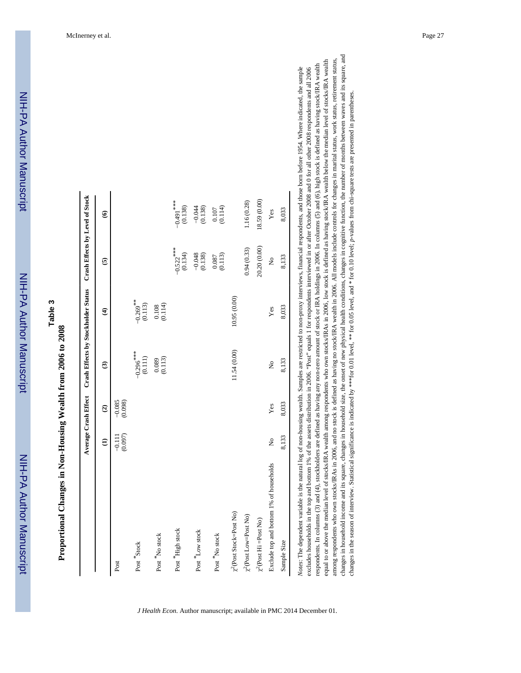| c |  |
|---|--|
|   |  |
| ω |  |
| ο |  |
|   |  |
| Ĕ |  |
|   |  |
|   |  |
|   |  |
|   |  |
|   |  |
|   |  |
|   |  |
|   |  |
|   |  |

| CONG.<br>$\frac{3}{2}$ |
|------------------------|
| í                      |
| i                      |
| j                      |
| J<br>I                 |
|                        |
| י<br>ק                 |
| J<br>i                 |
| l<br>I                 |
| I                      |

|                                         |                     | Average Crash Effect  |                         | <b>Crash Effects by Stockholder Status</b> |                                    | Crash Effects by Level of Stock |
|-----------------------------------------|---------------------|-----------------------|-------------------------|--------------------------------------------|------------------------------------|---------------------------------|
|                                         | $\widehat{E}$       | $\widehat{c}$         | $\widehat{\mathbf{c}}$  | $\widehat{\mathbf{t}}$                     | $\overline{6}$                     | $\widehat{\bullet}$             |
| Post                                    | (0.097)<br>$-0.111$ | $-0.085$<br>$(0.098)$ |                         |                                            |                                    |                                 |
| Post *Stock                             |                     |                       | $-0.296$ ***<br>(0.111) | $-0.269$ **<br>(0.113)                     |                                    |                                 |
| Post *No stock                          |                     |                       | $\frac{0.089}{(0.113)}$ | $0.108$<br>$(0.114)$                       |                                    |                                 |
| Post *High stock                        |                     |                       |                         |                                            | $-0.522$ <sup>***</sup><br>(0.134) | $-0.491$ ***<br>(0.138)         |
| Post Low stock                          |                     |                       |                         |                                            | $-0.048$<br>(0.138)                | $\frac{-0.044}{(0.138)}$        |
| Post *No stock                          |                     |                       |                         |                                            | $\frac{0.087}{(0.113)}$            | $0.107$<br>$(0.114)$            |
| $\chi^2$ (Post Stock=Post No)           |                     |                       | 11.54 (0.00)            | 10.95 (0.00)                               |                                    |                                 |
| $\chi^2$ (Post Low=Post No)             |                     |                       |                         |                                            | 0.94(0.33)                         | 1.16 (0.28)                     |
| $\chi^2$ (Post Hi =Post No)             |                     |                       |                         |                                            | 20.20 (0.00)                       | 18.59 (0.00)                    |
| Exclude top and bottom 1% of households | $\frac{1}{2}$       | Yes                   | $\frac{1}{2}$           | Yes                                        | Σò                                 | Yes                             |
| Sample Size                             | 8,133               | 8,033                 | 8,133                   | 8,033                                      | 8,133                              | 8,033                           |

changes in household income and its square, changes in household size, the onset of new physical health conditions, changes in cognitive function, the number of months between waves and its square, and changes in household income and its square, changes in household size, the onset of new physical health conditions, changes in cognitive function, the number of months between waves and its square, and among respondents who own stocks/IRAs in 2006, and no stock is defined as having no stock/IRA wealth in 2006. All models include controls for changes in marital status, work status, retirement status, equal to or above the median level of stocks/IRA wealth among respondents who own stocks/IRAs in 2006, low stock is defined as having stock/IRA wealth below the median level of stocks/IRA wealth among respondents who own stocks/IRAs in 2006, and no stock is defined as having no stock/IRA wealth in 2006. All models include controls for changes in marital status, work status, retirement status, equal to or above the median level of stocks/IRA wealth among respondents who own stocks/IRAs in 2006, low stock is defined as having stock/IRA wealth below the median level of stocks/IRA wealth respondents. In columns (3) and (4), stockholders are defined as having any non-zero amount of stock or IRA holdings in 2006. In columns (5) and (6), high stock is defined as having stockIRA wealth respondents. In columns (3) and (4), stockholders are defined as having any non-zero amount of stock or IRA holdings in 2006. In columns (5) and (6), high stock is defined as having stock/IRA wealth fore 1954. Where indicated, the sample ill other 2008 respondents and all 2006 Notes: The dependent variable is the natural log of non-housing wealth. Samples are restricted to non-proxy interviews, financial respondents, and those born before 1954. Where indicated, the sample excludes households in the top and bottom 1% of the assets distribution in 2006. "Post" equals 1 for respondents interviewed in or after October 2008 and 0 for all other 2008 respondents and all 2006 respondents and all 20 changes in the season of interview. Statistical significance is indicated by \*\*\*for 0.01 level, \*\* for 0.05 level, and \* for 0.10 level; p-values from chi-square tests are presented in parentheses. changes in the season of interview. Statistical significance is indicated by \*\*\*for 0.01 level, \*\* for 0.05 level, and \* for 0.10 level; *p*-values from chi-square tests are presented in parentheses.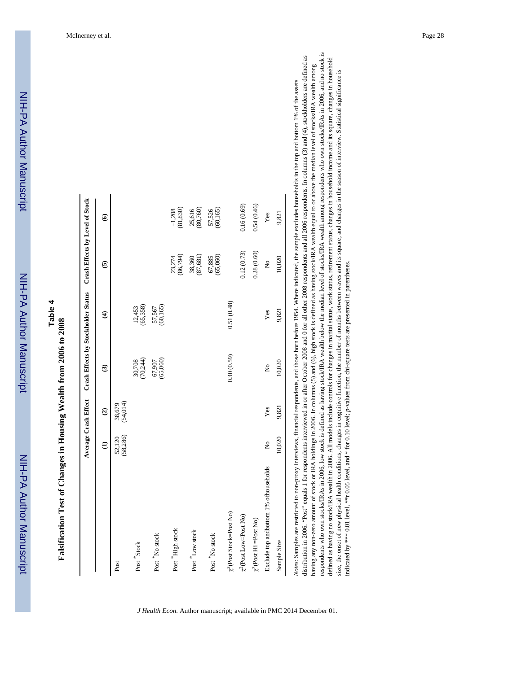**Table 4**

| $\tilde{\phantom{a}}$<br>$\frac{5}{1}$ |
|----------------------------------------|
|                                        |
| í                                      |
| I                                      |
| i                                      |
| J<br>ļ                                 |
|                                        |
| D<br>i                                 |
|                                        |
| I                                      |
| ľ                                      |

|                                       |                     | Average Crash Effect | Crash Effects by Stockholder Status Crash Effects by Level of Stock |                        |                     |                           |
|---------------------------------------|---------------------|----------------------|---------------------------------------------------------------------|------------------------|---------------------|---------------------------|
|                                       | $\widehat{e}$       | $\widehat{c}$        | $\widehat{\mathbf{c}}$                                              | $\widehat{\mathbf{t}}$ | $\overline{6}$      | $\widehat{\bullet}$       |
| Post                                  | (58, 286)<br>52,120 | (54,014)<br>38,679   |                                                                     |                        |                     |                           |
| Post *Stock                           |                     |                      | 30,708<br>(70,244)                                                  | 12,453<br>(65,358)     |                     |                           |
| Post <sup>*</sup> No stock            |                     |                      | $67,907$<br>$(65,060)$                                              | $57,567$<br>(60,165)   |                     |                           |
| Post High stock                       |                     |                      |                                                                     |                        | (86,794)<br>23,274  | $\frac{-1,208}{(81,830)}$ |
| Post *Low stock                       |                     |                      |                                                                     |                        | (87, 681)<br>38,360 | $25,616$<br>$(80,760)$    |
| Post *No stock                        |                     |                      |                                                                     |                        | (65,060)<br>67,885  | (60, 165)<br>57,526       |
| $\chi^2$ (Post Stock=Post No)         |                     |                      | 0.30(0.59)                                                          | 0.51(0.48)             |                     |                           |
| $\chi^2$ (Post Low=Post No)           |                     |                      |                                                                     |                        | 0.12(0.73)          | 0.16(0.69)                |
| $\chi^2$ (Post Hi =Post No)           |                     |                      |                                                                     |                        | 0.28(0.60)          | 0.54(0.46)                |
| Exclude top andbottom 1% ofhouseholds | $\frac{1}{2}$       | Yes                  | $\frac{1}{2}$                                                       | Yes                    | Σò                  | Yes                       |
| Sample Size                           | 10,020              | 9,821                | 10,020                                                              | 9,821                  | 10,020              | 9,821                     |

respondents who own stocks/IRAs in 2006, low stock is defined as having stock/IRA wealth below the median level of stocks/IRA wealth among respondents who own stocks/IRAs in 2006, and no stock is respondents who own stocks/IRAs in 2006, low stock is defined as having stock/IRA wealth below the median level of stocks/IRA wealth among respondents who own stocks/IRAs in 2006, and no stock is s (3) and (4), stockholders are defined as defined as having no stock/IRA wealth in 2006. All models include controls for changes in marital status, work status, retirement status, changes in household income and its square, changes in household distribution in 2006. "Post" equals 1 for respondents interviewed in or after October 2008 and 0 for all other 2008 respondents and all 2006 respondents. In columns (3) and (4), stockholders are defined as defined as having no stock/IRA wealth in 2006. All models include controls for changes in marital status, work status, retirement status, changes in household income and its square, changes in household having any non-zero amount of stock or IRA holdings in 2006. In columns (5) and (6), high stock is defined as having stock/IRA wealth equal to or above the median level of stocks/IRA wealth among having any non-zero amount of stock or IRA holdings in 2006. In columns (5) and (6), high stock is defined as having stock/IRA wealth equal to or above the median level of stocks/IRA wealth among size, the onset of new physical health conditions, changes in cognitive function, the number of months between waves and its square, and changes in the season of interview. Statistical significance is size, the onset of new physical health conditions, changes in cognitive function, the number of months between waves and its square, and changes in the season of interview. Statistical significance is op and bottom 1% of the assets Notes: Samples are restricted to non-proxy interviews, financial respondents, and those born before 1954. Where indicated, the sample excludes households in the top and bottom 1% of the assets indicated by \*\*\* 0.01 level, \*\*r 0.05 level, and \* for 0.10 level; p-values from chi-square tests are presented in parentheses. indicated by \*\*\* 0.01 level, \*\*r 0.05 level, and \* for 0.10 level; *p*-values from chi-square tests are presented in parentheses.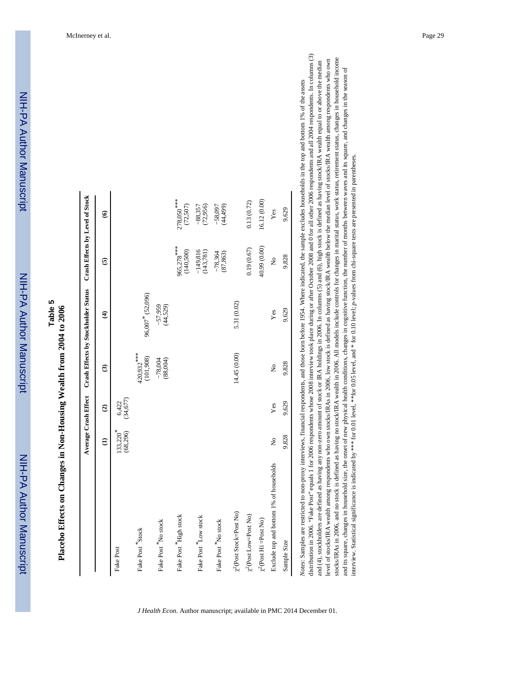| ი<br>ი |                          |
|--------|--------------------------|
|        |                          |
| j      |                          |
|        |                          |
|        |                          |
|        | はいせ                      |
|        |                          |
|        | <b>JUVL - 7UVL</b>       |
|        |                          |
|        | י<br>י                   |
|        | h fror                   |
|        | $W_{\text{cal}}$         |
|        | į                        |
|        |                          |
|        |                          |
|        |                          |
|        | i                        |
|        |                          |
|        |                          |
|        |                          |
|        |                          |
|        |                          |
|        | $\sin N$ <sub>on-1</sub> |
|        |                          |
|        |                          |
|        |                          |
|        |                          |
|        |                          |
|        | fects on Change          |
|        |                          |
|        |                          |
|        |                          |
|        |                          |
|        |                          |
|        |                          |
|        |                          |
|        | Jiocol                   |
|        |                          |
|        | ا<br>ا                   |

|                                         |                                     |                    |                           | Average Crash Effect Crash Effects by Stockholder Status | Crash Effects by Level of Stock |                          |
|-----------------------------------------|-------------------------------------|--------------------|---------------------------|----------------------------------------------------------|---------------------------------|--------------------------|
|                                         | $\widehat{z}$                       | $\widehat{c}$      | $\widehat{\mathbf{c}}$    | $\widehat{\mathbf{f}}$                                   | $\widehat{\mathbf{e}}$          | $\widehat{\bullet}$      |
| Fake Post                               | $133,220$ <sup>*</sup><br>(68, 296) | (34, 677)<br>6,422 |                           |                                                          |                                 |                          |
| Fake Post *Stock                        |                                     |                    | $420,932***$<br>(101,908) | 96,007 * (52,096)                                        |                                 |                          |
| Fake Post *No stock                     |                                     |                    | $-78,004$<br>(88,004)     | $-57,959$<br>(44,529)                                    |                                 |                          |
| Fake Post *High stock                   |                                     |                    |                           |                                                          | 965,278***<br>(140,500)         | $278,050***$<br>(72,507) |
| Fake Post *Low stock                    |                                     |                    |                           |                                                          | $-149,816$<br>(143, 781)        | $-88,357$<br>(72,956)    |
| Fake Post *No stock                     |                                     |                    |                           |                                                          | $-78,364$<br>(87, 863)          | $-58,097$<br>(44, 499)   |
| $\chi^2$ (Post Stock=Post No)           |                                     |                    | 14.45 (0.00)              | 5.31 (0.02)                                              |                                 |                          |
| $\chi^2$ (Post Low=Post No)             |                                     |                    |                           |                                                          | 0.19(0.67)                      | 0.13(0.72)               |
| $\chi^2$ (Post Hi =Post No)             |                                     |                    |                           |                                                          | 40.99 (0.00)                    | 16.12 (0.00)             |
| Exclude top and bottom 1% of households | ż                                   | Yes                | $\frac{1}{2}$             | Yes                                                      | 2                               | Yes                      |
| Sample Size                             | 9,828                               | 9,629              | 9,828                     | 9,629                                                    | 9,828                           | 9,629                    |

*J Health Econ*. Author manuscript; available in PMC 2014 December 01.

distribution in 2006. "Fake Post" equals 1 for 2006 respondents whose 2008 interview took place during or after October 2008 and 0 for all other 2006 respondents and all 2004 respondents. In columns (3) distribution in 2006. "Fake Post" equals 1 for 2006 respondents whose 2008 interview took place during or after October 2008 and 0 for all other 2006 respondents and all 2004 respondents. In columns (3) level of stocks/IRA wealth among respondents who own stocks/IRAs in 2006, low stock is defined as having stock/IRA wealth below the median level of stocks/IRA wealth among respondents who own stocks/IRAs in 2006, and no stock is defined as having no stock/IRA wealth in 2006. All models include controls for changes in marital status, work status, retirement status, changes in household income stocks/IRAs in 2006, and no stock is defined as having no stock/IRA wealth in 2006. All models include controls for changes in marital status, work status, retirement status, changes in household income and (4), stockholders are defined as having any non-zero amount of stock or IRA holdings in 2006. In columns (5) and (6), high stock is defined as having stock/IRA wealth equal to or above the median level of stocks/IRA wealth among respondents who own stocks/IRAs in 2006, low stock is defined as having stock/IRA wealth below the median level of stocks/IRA wealth among respondents who own and (4), stockholders are defined as having any non-zero amount of stock or IRA holdings in 2006. In columns (5) and (6), high stock is defined as having stock/IRA wealth equal to or above the median and its square, changes in household size, the onset of new physical health conditions, changes in cognitive function, the number of months between waves and its square, and changes in the season of and its square, changes in household size, the onset of new physical health conditions, changes in cognitive function, the number of months between waves and its square, and changes in the season of in the top and bottom 1% of the assets Notes: Samples are restricted to non-proxy interviews, financial respondents, and those born before 1954. Where indicated, the sample excludes households in the top and bottom 1% of the assets interview. Statistical significance is indicated by \*\*\* for 0.01 level, \*\* for 0.05 level, and \* for 0.10 level; p-values from chi-square tests are presented in parentheses. interview. Statistical significance is indicated by \*\*\* for 0.01 level, \*\*for 0.05 level, and \* for 0.10 level; *p*-values from chi-square tests are presented in parentheses.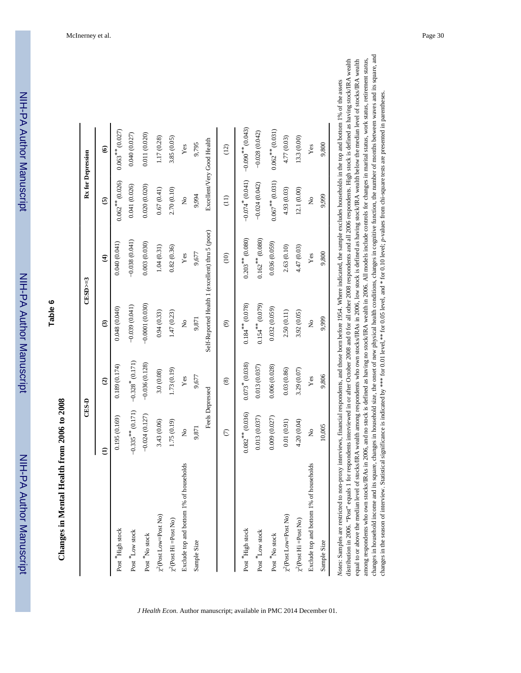**Table 6**

NIH-PA Author Manuscript

NIH-PA Author Manuscript

Changes in Mental Health from 2006 to 2008 **Changes in Mental Health from 2006 to 2008**

|                                         | CES-D                  |                    | $CESD>=3$                                        |                        |                    | <b>Rx</b> for Depression        |
|-----------------------------------------|------------------------|--------------------|--------------------------------------------------|------------------------|--------------------|---------------------------------|
|                                         | $\widehat{E}$          | $\widehat{c}$      | $\widehat{\mathbf{c}}$                           | $\widehat{\mathbf{t}}$ | $\overline{6}$     | $\widehat{\bullet}$             |
| Post High stock                         | 0.195(0.169)           | 0.189(0.174)       | 0.048 (0.040)                                    | 0.040 (0.041)          | $0.062**$ (0.026)  | $0.063***$ $(0.027)$            |
| Post *Low stock                         | $-0.335**$ (0.171)     | $-0.328$ $(0.171)$ | $-0.039(0.041)$                                  | $-0.038(0.041)$        | 0.041(0.026)       | 0.040(0.027)                    |
| Post *No stock                          | $-0.024(0.127)$        | $-0.036(0.128)$    | $-0.0001(0.030)$                                 | 0.003(0.030)           | 0.020(0.020)       | 0.011 (0.020)                   |
| $\chi^2$ (Post Low=Post No)             | 3.43 (0.06)            | 3.0(0.08)          | 0.94(0.33)                                       | 1.04(0.31)             | 0.67(0.41)         | 1.17 (0.28)                     |
| $\chi^2$ (Post Hi =Post No)             | 1.75(0.19)             | 1.73 (0.19)        | 1.47(0.23)                                       | 0.82(0.36)             | 2.70 (0.10)        | 3.85 (0.05)                     |
| Exclude top and bottom 1% of households | 2                      | $\mathbf{Yes}$     | $\mathop{\mathsf{S}}$                            | Yes                    | $\frac{1}{2}$      | $\mathbf{Yes}$                  |
| Sample Size                             | 9,871                  | 9,677              | 9,871                                            | 9,677                  | 9,994              | 9,795                           |
|                                         | <b>Feels Depressed</b> |                    | Self-Reported Health 1 (excellent) thru 5 (poor) |                        |                    | Excellent/Very Good Health      |
|                                         | $\widehat{C}$          | $\circledast$      | $\widehat{\mathfrak{S}}$                         | $\widehat{=}$          | $\widehat{\Xi}$    | (12)                            |
| Post "High stock                        | $0.082**$ (0.036)      | $0.073*(0.038)$    | $0.184**$ (0.078)                                | $0.203**$ (0.080)      | $-0.074$ $(0.041)$ | $-0.090$ ** $(0.043)$           |
| Post *Low stock                         | 0.013(0.037)           | 0.013(0.037)       | $0.154***$ $(0.079)$                             | $0.162**$ $(0.080)$    | $-0.024(0.042)$    | $-0.028(0.042)$                 |
| Post *No stock                          | 0.009(0.027)           | 0.006(0.028)       | 0.032(0.059)                                     | 0.036(0.059)           | $0.067***$ (0.031) | $0.062$ <sup>**</sup> $(0.031)$ |
| $\chi^2(\text{Post Low=Post No})$       | 0.01(0.91)             | 0.03(0.86)         | 2.50(0.11)                                       | 2.63 (0.10)            | 4.93 (0.03)        | 4.77 (0.03)                     |
| $\chi^2$ (Post Hi =Post No)             | 4.20 (0.04)            | 3.29 (0.07)        | 3.92 (0.05)                                      | 4.47 (0.03)            | 12.1(0.00)         | 13.3 (0.00)                     |
| Exclude top and bottom 1% of households | $\tilde{z}$            | $\mathbf{Yes}$     | $\sqrt{2}$                                       | Yes                    | $\frac{1}{2}$      | $\mathbf{Yes}$                  |
| Sample Size                             | 0,005                  | 9,806              | 9,999                                            | 9,800                  | 9,999              | 9,800                           |

*J Health Econ*. Author manuscript; available in PMC 2014 December 01.

among respondents who own stocks/IRAs in 2006, and no stock is defined as having no stock/IRA wealth in 2006. All models include controls for changes in marital status, work status, retirement status, changes in household income and its square, changes in household size, the onset of new physical health conditions, changes in cognitive function, the number of months between waves and its square, and

among respondents who own stocks/IRAs in 2006, and no stock is defined as having no stock/IRA wealth in 2006. All models include controls for changes in marital status, work status, retirement status,

changes in the season of interview. Statistical significance is indicated by \*\*\* for 0.01 level,\*\* for 0.05 and \* for 0.10 level; *p*-values from chi-square tests are presented in parentheses.

changes in household income and its square, changes in household size, the onse of new physical health conditions, changes in cognitive function, the number of months between waves and its square, and it and its square, an